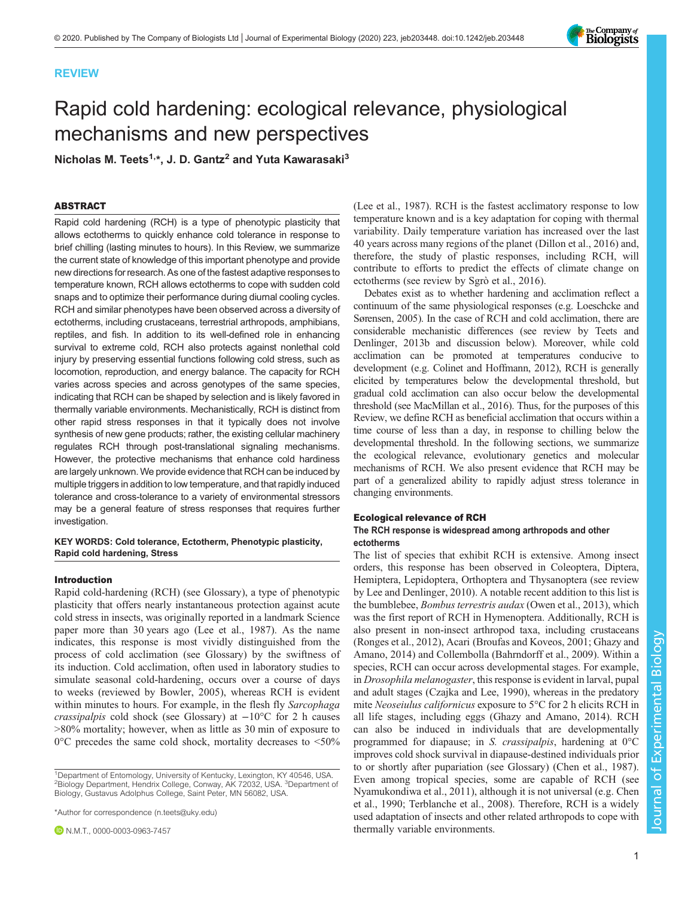# REVIEW

# Rapid cold hardening: ecological relevance, physiological mechanisms and new perspectives

Nicholas M. Teets<sup>1,\*</sup>, J. D. Gantz<sup>2</sup> and Yuta Kawarasaki<sup>3</sup>

# ABSTRACT

Rapid cold hardening (RCH) is a type of phenotypic plasticity that allows ectotherms to quickly enhance cold tolerance in response to brief chilling (lasting minutes to hours). In this Review, we summarize the current state of knowledge of this important phenotype and provide new directions for research. As one of the fastest adaptive responses to temperature known, RCH allows ectotherms to cope with sudden cold snaps and to optimize their performance during diurnal cooling cycles. RCH and similar phenotypes have been observed across a diversity of ectotherms, including crustaceans, terrestrial arthropods, amphibians, reptiles, and fish. In addition to its well-defined role in enhancing survival to extreme cold, RCH also protects against nonlethal cold injury by preserving essential functions following cold stress, such as locomotion, reproduction, and energy balance. The capacity for RCH varies across species and across genotypes of the same species, indicating that RCH can be shaped by selection and is likely favored in thermally variable environments. Mechanistically, RCH is distinct from other rapid stress responses in that it typically does not involve synthesis of new gene products; rather, the existing cellular machinery regulates RCH through post-translational signaling mechanisms. However, the protective mechanisms that enhance cold hardiness are largely unknown. We provide evidence that RCH can be induced by multiple triggers in addition to low temperature, and that rapidly induced tolerance and cross-tolerance to a variety of environmental stressors may be a general feature of stress responses that requires further investigation.

# KEY WORDS: Cold tolerance, Ectotherm, Phenotypic plasticity, Rapid cold hardening, Stress

# Introduction

Rapid cold-hardening (RCH) (see Glossary), a type of phenotypic plasticity that offers nearly instantaneous protection against acute cold stress in insects, was originally reported in a landmark Science paper more than 30 years ago ([Lee et al., 1987](#page-10-0)). As the name indicates, this response is most vividly distinguished from the process of cold acclimation (see Glossary) by the swiftness of its induction. Cold acclimation, often used in laboratory studies to simulate seasonal cold-hardening, occurs over a course of days to weeks (reviewed by [Bowler, 2005](#page-9-0)), whereas RCH is evident within minutes to hours. For example, in the flesh fly Sarcophaga crassipalpis cold shock (see Glossary) at  $-10^{\circ}$ C for 2 h causes >80% mortality; however, when as little as 30 min of exposure to  $0^{\circ}$ C precedes the same cold shock, mortality decreases to <50%

<sup>1</sup>Department of Entomology, University of Kentucky, Lexington, KY 40546, USA. <sup>2</sup>Biology Department, Hendrix College, Conway, AK 72032, USA. <sup>3</sup>Department of Biology, Gustavus Adolphus College, Saint Peter, MN 56082, USA.

\*Author for correspondence [\(n.teets@uky.edu](mailto:n.teets@uky.edu))

**D** N.M.T., [0000-0003-0963-7457](http://orcid.org/0000-0003-0963-7457)

[\(Lee et al., 1987\)](#page-10-0). RCH is the fastest acclimatory response to low temperature known and is a key adaptation for coping with thermal variability. Daily temperature variation has increased over the last 40 years across many regions of the planet [\(Dillon et al., 2016\)](#page-9-0) and, therefore, the study of plastic responses, including RCH, will contribute to efforts to predict the effects of climate change on ectotherms (see review by [Sgrò et al., 2016\)](#page-11-0).

Debates exist as to whether hardening and acclimation reflect a continuum of the same physiological responses (e.g. [Loeschcke and](#page-10-0) [Sørensen, 2005\)](#page-10-0). In the case of RCH and cold acclimation, there are considerable mechanistic differences (see review by [Teets and](#page-11-0) [Denlinger, 2013b](#page-11-0) and discussion below). Moreover, while cold acclimation can be promoted at temperatures conducive to development (e.g. [Colinet and Hoffmann, 2012](#page-9-0)), RCH is generally elicited by temperatures below the developmental threshold, but gradual cold acclimation can also occur below the developmental threshold (see [MacMillan et al., 2016\)](#page-10-0). Thus, for the purposes of this Review, we define RCH as beneficial acclimation that occurs within a time course of less than a day, in response to chilling below the developmental threshold. In the following sections, we summarize the ecological relevance, evolutionary genetics and molecular mechanisms of RCH. We also present evidence that RCH may be part of a generalized ability to rapidly adjust stress tolerance in changing environments.

#### Ecological relevance of RCH

# The RCH response is widespread among arthropods and other ectotherms

The list of species that exhibit RCH is extensive. Among insect orders, this response has been observed in Coleoptera, Diptera, Hemiptera, Lepidoptera, Orthoptera and Thysanoptera (see review by [Lee and Denlinger, 2010](#page-10-0)). A notable recent addition to this list is the bumblebee, Bombus terrestris audax ([Owen et al., 2013](#page-10-0)), which was the first report of RCH in Hymenoptera. Additionally, RCH is also present in non-insect arthropod taxa, including crustaceans [\(Ronges et al., 2012](#page-11-0)), Acari [\(Broufas and Koveos, 2001](#page-9-0); [Ghazy and](#page-9-0) [Amano, 2014\)](#page-9-0) and Collembolla [\(Bahrndorff et al., 2009\)](#page-9-0). Within a species, RCH can occur across developmental stages. For example, in Drosophila melanogaster, this response is evident in larval, pupal and adult stages ([Czajka and Lee, 1990](#page-9-0)), whereas in the predatory mite Neoseiulus californicus exposure to 5°C for 2 h elicits RCH in all life stages, including eggs [\(Ghazy and Amano, 2014\)](#page-9-0). RCH can also be induced in individuals that are developmentally programmed for diapause; in S. crassipalpis, hardening at 0°C improves cold shock survival in diapause-destined individuals prior to or shortly after pupariation (see Glossary) [\(Chen et al., 1987\)](#page-9-0). Even among tropical species, some are capable of RCH (see [Nyamukondiwa et al., 2011\)](#page-10-0), although it is not universal (e.g. [Chen](#page-9-0) [et al., 1990](#page-9-0); [Terblanche et al., 2008](#page-11-0)). Therefore, RCH is a widely used adaptation of insects and other related arthropods to cope with thermally variable environments.

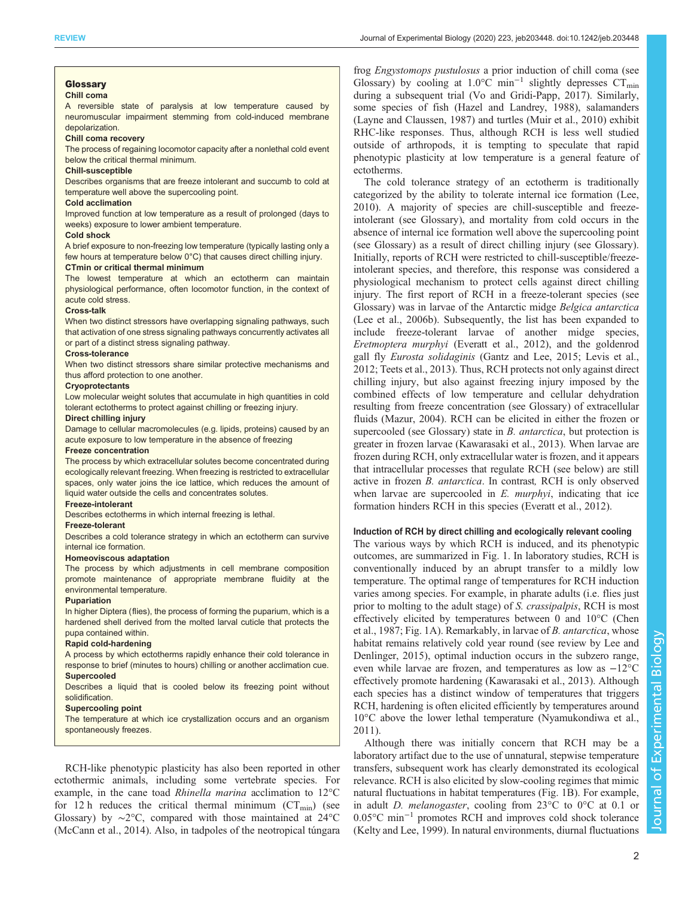#### Glossary Chill coma

#### A reversible state of paralysis at low temperature caused by neuromuscular impairment stemming from cold-induced membrane depolarization.

#### Chill coma recovery

The process of regaining locomotor capacity after a nonlethal cold event below the critical thermal minimum.

#### Chill-susceptible

Describes organisms that are freeze intolerant and succumb to cold at temperature well above the supercooling point.

#### Cold acclimation

Improved function at low temperature as a result of prolonged (days to weeks) exposure to lower ambient temperature.

#### Cold shock

A brief exposure to non-freezing low temperature (typically lasting only a few hours at temperature below 0°C) that causes direct chilling injury. CTmin or critical thermal minimum

The lowest temperature at which an ectotherm can maintain physiological performance, often locomotor function, in the context of acute cold stress.

### Cross-talk

When two distinct stressors have overlapping signaling pathways, such that activation of one stress signaling pathways concurrently activates all or part of a distinct stress signaling pathway.

#### Cross-tolerance

When two distinct stressors share similar protective mechanisms and thus afford protection to one another.

#### **Cryoprotectants**

Low molecular weight solutes that accumulate in high quantities in cold tolerant ectotherms to protect against chilling or freezing injury.

#### Direct chilling injury

Damage to cellular macromolecules (e.g. lipids, proteins) caused by an acute exposure to low temperature in the absence of freezing

#### Freeze concentration

The process by which extracellular solutes become concentrated during ecologically relevant freezing. When freezing is restricted to extracellular spaces, only water joins the ice lattice, which reduces the amount of liquid water outside the cells and concentrates solutes.

# Freeze-intolerant

Describes ectotherms in which internal freezing is lethal.

#### Freeze-tolerant

Describes a cold tolerance strategy in which an ectotherm can survive internal ice formation.

#### Homeoviscous adaptation

The process by which adjustments in cell membrane composition promote maintenance of appropriate membrane fluidity at the environmental temperature.

## Pupariation

In higher Diptera (flies), the process of forming the puparium, which is a hardened shell derived from the molted larval cuticle that protects the pupa contained within.

#### Rapid cold-hardening

A process by which ectotherms rapidly enhance their cold tolerance in response to brief (minutes to hours) chilling or another acclimation cue. Supercooled

#### Describes a liquid that is cooled below its freezing point without solidification.

#### Supercooling point

The temperature at which ice crystallization occurs and an organism spontaneously freezes.

RCH-like phenotypic plasticity has also been reported in other ectothermic animals, including some vertebrate species. For example, in the cane toad Rhinella marina acclimation to 12°C for 12 h reduces the critical thermal minimum  $(CT_{min})$  (see Glossary) by ∼2°C, compared with those maintained at 24°C [\(McCann et al., 2014](#page-10-0)). Also, in tadpoles of the neotropical túngara

frog Engystomops pustulosus a prior induction of chill coma (see Glossary) by cooling at  $1.0^{\circ}$ C min<sup>-1</sup> slightly depresses CT<sub>min</sub> during a subsequent trial [\(Vo and Gridi-Papp, 2017](#page-11-0)). Similarly, some species of fish [\(Hazel and Landrey, 1988](#page-9-0)), salamanders [\(Layne and Claussen, 1987](#page-10-0)) and turtles ([Muir et al., 2010](#page-10-0)) exhibit RHC-like responses. Thus, although RCH is less well studied outside of arthropods, it is tempting to speculate that rapid phenotypic plasticity at low temperature is a general feature of ectotherms.

The cold tolerance strategy of an ectotherm is traditionally categorized by the ability to tolerate internal ice formation ([Lee,](#page-10-0) [2010\)](#page-10-0). A majority of species are chill-susceptible and freezeintolerant (see Glossary), and mortality from cold occurs in the absence of internal ice formation well above the supercooling point (see Glossary) as a result of direct chilling injury (see Glossary). Initially, reports of RCH were restricted to chill-susceptible/freezeintolerant species, and therefore, this response was considered a physiological mechanism to protect cells against direct chilling injury. The first report of RCH in a freeze-tolerant species (see Glossary) was in larvae of the Antarctic midge Belgica antarctica [\(Lee et al., 2006b\)](#page-10-0). Subsequently, the list has been expanded to include freeze-tolerant larvae of another midge species, Eretmoptera murphyi ([Everatt et al., 2012](#page-9-0)), and the goldenrod gall fly Eurosta solidaginis ([Gantz and Lee, 2015](#page-9-0); [Levis et al.,](#page-10-0) [2012;](#page-10-0) [Teets et al., 2013](#page-11-0)). Thus, RCH protects not only against direct chilling injury, but also against freezing injury imposed by the combined effects of low temperature and cellular dehydration resulting from freeze concentration (see Glossary) of extracellular fluids ([Mazur, 2004\)](#page-10-0). RCH can be elicited in either the frozen or supercooled (see Glossary) state in B. antarctica, but protection is greater in frozen larvae [\(Kawarasaki et al., 2013\)](#page-9-0). When larvae are frozen during RCH, only extracellular water is frozen, and it appears that intracellular processes that regulate RCH (see below) are still active in frozen B. antarctica. In contrast, RCH is only observed when larvae are supercooled in E. murphyi, indicating that ice formation hinders RCH in this species [\(Everatt et al., 2012\)](#page-9-0).

#### Induction of RCH by direct chilling and ecologically relevant cooling

The various ways by which RCH is induced, and its phenotypic outcomes, are summarized in [Fig. 1](#page-2-0). In laboratory studies, RCH is conventionally induced by an abrupt transfer to a mildly low temperature. The optimal range of temperatures for RCH induction varies among species. For example, in pharate adults (i.e. flies just prior to molting to the adult stage) of *S. crassipalpis*, RCH is most effectively elicited by temperatures between 0 and 10°C ([Chen](#page-9-0) [et al., 1987](#page-9-0); [Fig. 1](#page-2-0)A). Remarkably, in larvae of B. antarctica, whose habitat remains relatively cold year round (see review by [Lee and](#page-10-0) [Denlinger, 2015\)](#page-10-0), optimal induction occurs in the subzero range, even while larvae are frozen, and temperatures as low as −12°C effectively promote hardening ([Kawarasaki et al., 2013](#page-9-0)). Although each species has a distinct window of temperatures that triggers RCH, hardening is often elicited efficiently by temperatures around 10°C above the lower lethal temperature [\(Nyamukondiwa et al.,](#page-10-0) [2011\)](#page-10-0).

Although there was initially concern that RCH may be a laboratory artifact due to the use of unnatural, stepwise temperature transfers, subsequent work has clearly demonstrated its ecological relevance. RCH is also elicited by slow-cooling regimes that mimic natural fluctuations in habitat temperatures [\(Fig. 1](#page-2-0)B). For example, in adult D. melanogaster, cooling from 23°C to 0°C at 0.1 or 0.05°C min−<sup>1</sup> promotes RCH and improves cold shock tolerance [\(Kelty and Lee, 1999\)](#page-9-0). In natural environments, diurnal fluctuations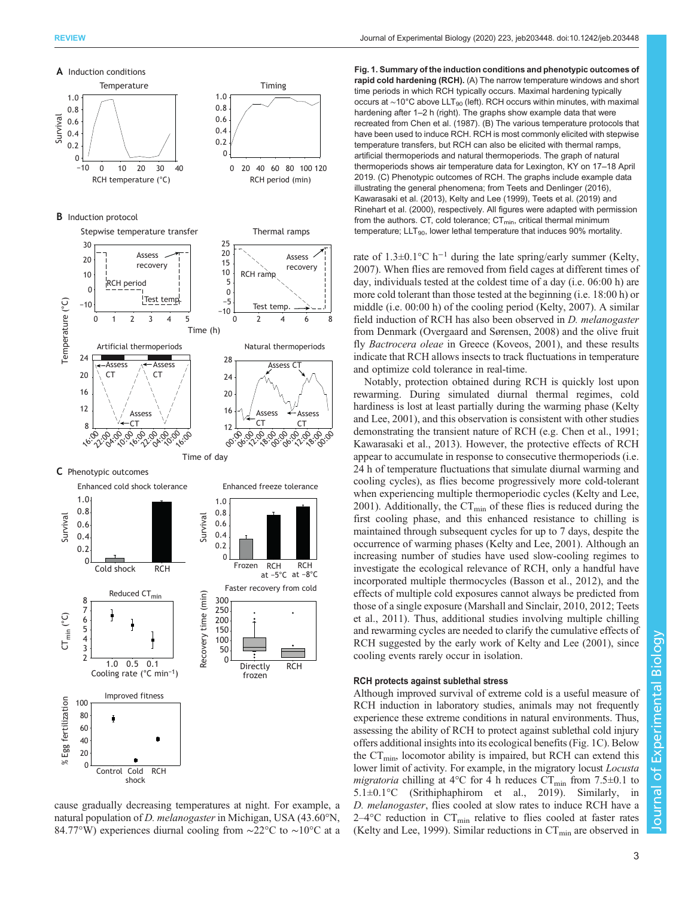<span id="page-2-0"></span>

cause gradually decreasing temperatures at night. For example, a natural population of D. melanogaster in Michigan, USA (43.60°N, 84.77°W) experiences diurnal cooling from ∼22°C to ∼10°C at a

Fig. 1. Summary of the induction conditions and phenotypic outcomes of rapid cold hardening (RCH). (A) The narrow temperature windows and short time periods in which RCH typically occurs. Maximal hardening typically occurs at ~10°C above LLT<sub>90</sub> (left). RCH occurs within minutes, with maximal hardening after 1-2 h (right). The graphs show example data that were recreated from [Chen et al. \(1987\).](#page-9-0) (B) The various temperature protocols that have been used to induce RCH. RCH is most commonly elicited with stepwise temperature transfers, but RCH can also be elicited with thermal ramps, artificial thermoperiods and natural thermoperiods. The graph of natural thermoperiods shows air temperature data for Lexington, KY on 17–18 April 2019. (C) Phenotypic outcomes of RCH. The graphs include example data illustrating the general phenomena; from [Teets and Denlinger \(2016\)](#page-11-0), [Kawarasaki et al. \(2013\), Kelty and Lee \(1999\),](#page-9-0) [Teets et al. \(2019\)](#page-11-0) and [Rinehart et al. \(2000\),](#page-10-0) respectively. All figures were adapted with permission from the authors. CT, cold tolerance;  $CT_{min}$ , critical thermal minimum temperature;  $LLT_{90}$ , lower lethal temperature that induces 90% mortality.

rate of 1.3±0.1°C h<sup>-1</sup> during the late spring/early summer ([Kelty,](#page-9-0) [2007\)](#page-9-0). When flies are removed from field cages at different times of day, individuals tested at the coldest time of a day (i.e. 06:00 h) are more cold tolerant than those tested at the beginning (i.e. 18:00 h) or middle (i.e. 00:00 h) of the cooling period [\(Kelty, 2007\)](#page-9-0). A similar field induction of RCH has also been observed in *D. melanogaster* from Denmark [\(Overgaard and Sørensen, 2008](#page-10-0)) and the olive fruit fly Bactrocera oleae in Greece [\(Koveos, 2001](#page-9-0)), and these results indicate that RCH allows insects to track fluctuations in temperature and optimize cold tolerance in real-time.

Notably, protection obtained during RCH is quickly lost upon rewarming. During simulated diurnal thermal regimes, cold hardiness is lost at least partially during the warming phase [\(Kelty](#page-9-0) [and Lee, 2001](#page-9-0)), and this observation is consistent with other studies demonstrating the transient nature of RCH (e.g. [Chen et al., 1991](#page-9-0); [Kawarasaki et al., 2013](#page-9-0)). However, the protective effects of RCH appear to accumulate in response to consecutive thermoperiods (i.e. 24 h of temperature fluctuations that simulate diurnal warming and cooling cycles), as flies become progressively more cold-tolerant when experiencing multiple thermoperiodic cycles [\(Kelty and Lee,](#page-9-0) [2001\)](#page-9-0). Additionally, the  $CT_{min}$  of these flies is reduced during the first cooling phase, and this enhanced resistance to chilling is maintained through subsequent cycles for up to 7 days, despite the occurrence of warming phases [\(Kelty and Lee, 2001](#page-9-0)). Although an increasing number of studies have used slow-cooling regimes to investigate the ecological relevance of RCH, only a handful have incorporated multiple thermocycles [\(Basson et al., 2012](#page-9-0)), and the effects of multiple cold exposures cannot always be predicted from those of a single exposure ([Marshall and Sinclair, 2010](#page-10-0), [2012;](#page-10-0) [Teets](#page-11-0) [et al., 2011](#page-11-0)). Thus, additional studies involving multiple chilling and rewarming cycles are needed to clarify the cumulative effects of RCH suggested by the early work of [Kelty and Lee \(2001\)](#page-9-0), since cooling events rarely occur in isolation.

# RCH protects against sublethal stress

Although improved survival of extreme cold is a useful measure of RCH induction in laboratory studies, animals may not frequently experience these extreme conditions in natural environments. Thus, assessing the ability of RCH to protect against sublethal cold injury offers additional insights into its ecological benefits (Fig. 1C). Below the  $CT_{\text{min}}$ , locomotor ability is impaired, but RCH can extend this lower limit of activity. For example, in the migratory locust Locusta migratoria chilling at 4°C for 4 h reduces  $CT_{min}$  from 7.5±0.1 to 5.1±0.1°C [\(Srithiphaphirom et al., 2019\)](#page-11-0). Similarly, in D. melanogaster, flies cooled at slow rates to induce RCH have a  $2-4$ °C reduction in CT<sub>min</sub> relative to flies cooled at faster rates [\(Kelty and Lee, 1999](#page-9-0)). Similar reductions in  $CT_{min}$  are observed in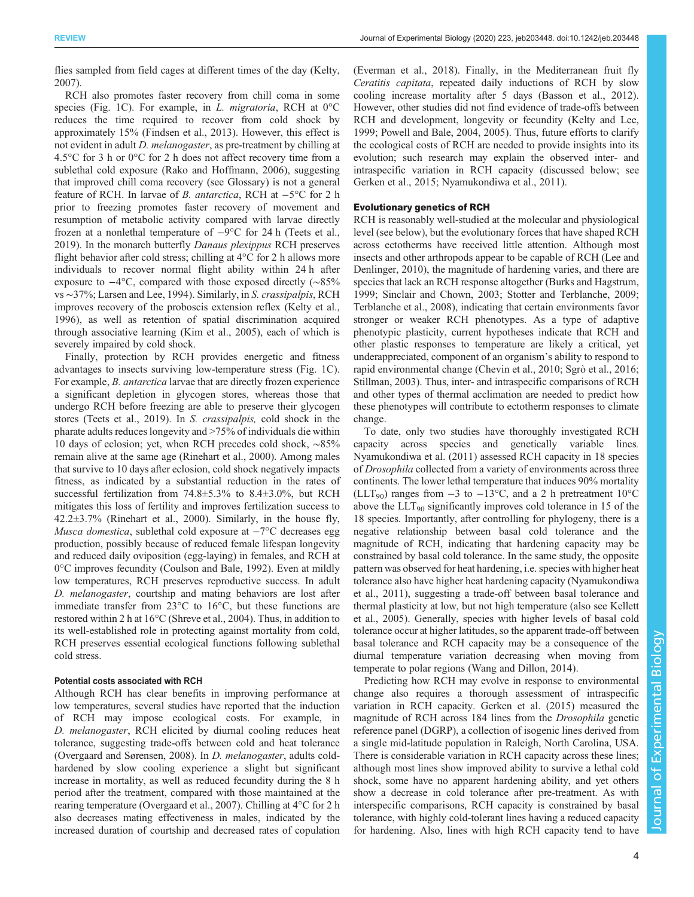flies sampled from field cages at different times of the day ([Kelty,](#page-9-0) [2007](#page-9-0)).

RCH also promotes faster recovery from chill coma in some species ([Fig. 1C](#page-2-0)). For example, in L. migratoria, RCH at 0°C reduces the time required to recover from cold shock by approximately 15% ([Findsen et al., 2013\)](#page-9-0). However, this effect is not evident in adult D. melanogaster, as pre-treatment by chilling at 4.5°C for 3 h or 0°C for 2 h does not affect recovery time from a sublethal cold exposure ([Rako and Hoffmann, 2006\)](#page-10-0), suggesting that improved chill coma recovery (see Glossary) is not a general feature of RCH. In larvae of B. antarctica, RCH at −5°C for 2 h prior to freezing promotes faster recovery of movement and resumption of metabolic activity compared with larvae directly frozen at a nonlethal temperature of −9°C for 24 h [\(Teets et al.,](#page-11-0) [2019](#page-11-0)). In the monarch butterfly Danaus plexippus RCH preserves flight behavior after cold stress; chilling at 4°C for 2 h allows more individuals to recover normal flight ability within 24 h after exposure to −4°C, compared with those exposed directly (∼85% vs ∼37%; [Larsen and Lee, 1994\)](#page-9-0). Similarly, in S. crassipalpis, RCH improves recovery of the proboscis extension reflex [\(Kelty et al.,](#page-9-0) [1996](#page-9-0)), as well as retention of spatial discrimination acquired through associative learning [\(Kim et al., 2005\)](#page-9-0), each of which is severely impaired by cold shock.

Finally, protection by RCH provides energetic and fitness advantages to insects surviving low-temperature stress ([Fig. 1](#page-2-0)C). For example, *B. antarctica* larvae that are directly frozen experience a significant depletion in glycogen stores, whereas those that undergo RCH before freezing are able to preserve their glycogen stores ([Teets et al., 2019](#page-11-0)). In S. crassipalpis, cold shock in the pharate adults reduces longevity and >75% of individuals die within 10 days of eclosion; yet, when RCH precedes cold shock, ∼85% remain alive at the same age [\(Rinehart et al., 2000\)](#page-10-0). Among males that survive to 10 days after eclosion, cold shock negatively impacts fitness, as indicated by a substantial reduction in the rates of successful fertilization from 74.8±5.3% to 8.4±3.0%, but RCH mitigates this loss of fertility and improves fertilization success to 42.2±3.7% [\(Rinehart et al., 2000\)](#page-10-0). Similarly, in the house fly, Musca domestica, sublethal cold exposure at  $-7^{\circ}$ C decreases egg production, possibly because of reduced female lifespan longevity and reduced daily oviposition (egg-laying) in females, and RCH at 0°C improves fecundity [\(Coulson and Bale, 1992](#page-9-0)). Even at mildly low temperatures, RCH preserves reproductive success. In adult D. melanogaster, courtship and mating behaviors are lost after immediate transfer from 23°C to 16°C, but these functions are restored within 2 h at 16°C ([Shreve et al., 2004](#page-11-0)). Thus, in addition to its well-established role in protecting against mortality from cold, RCH preserves essential ecological functions following sublethal cold stress.

#### Potential costs associated with RCH

Although RCH has clear benefits in improving performance at low temperatures, several studies have reported that the induction of RCH may impose ecological costs. For example, in D. melanogaster, RCH elicited by diurnal cooling reduces heat tolerance, suggesting trade-offs between cold and heat tolerance [\(Overgaard and Sørensen, 2008](#page-10-0)). In D. melanogaster, adults coldhardened by slow cooling experience a slight but significant increase in mortality, as well as reduced fecundity during the 8 h period after the treatment, compared with those maintained at the rearing temperature ([Overgaard et al., 2007](#page-10-0)). Chilling at 4°C for 2 h also decreases mating effectiveness in males, indicated by the increased duration of courtship and decreased rates of copulation

[\(Everman et al., 2018\)](#page-9-0). Finally, in the Mediterranean fruit fly Ceratitis capitata, repeated daily inductions of RCH by slow cooling increase mortality after 5 days [\(Basson et al., 2012\)](#page-9-0). However, other studies did not find evidence of trade-offs between RCH and development, longevity or fecundity [\(Kelty and Lee,](#page-9-0) [1999;](#page-9-0) [Powell and Bale, 2004, 2005](#page-10-0)). Thus, future efforts to clarify the ecological costs of RCH are needed to provide insights into its evolution; such research may explain the observed inter- and intraspecific variation in RCH capacity (discussed below; see [Gerken et al., 2015;](#page-9-0) [Nyamukondiwa et al., 2011](#page-10-0)).

# Evolutionary genetics of RCH

RCH is reasonably well-studied at the molecular and physiological level (see below), but the evolutionary forces that have shaped RCH across ectotherms have received little attention. Although most insects and other arthropods appear to be capable of RCH ([Lee and](#page-10-0) [Denlinger, 2010\)](#page-10-0), the magnitude of hardening varies, and there are species that lack an RCH response altogether [\(Burks and Hagstrum,](#page-9-0) [1999;](#page-9-0) [Sinclair and Chown, 2003; Stotter and Terblanche, 2009](#page-11-0); [Terblanche et al., 2008\)](#page-11-0), indicating that certain environments favor stronger or weaker RCH phenotypes. As a type of adaptive phenotypic plasticity, current hypotheses indicate that RCH and other plastic responses to temperature are likely a critical, yet underappreciated, component of an organism's ability to respond to rapid environmental change [\(Chevin et al., 2010](#page-9-0); [Sgrò et al., 2016](#page-11-0); [Stillman, 2003](#page-11-0)). Thus, inter- and intraspecific comparisons of RCH and other types of thermal acclimation are needed to predict how these phenotypes will contribute to ectotherm responses to climate change.

To date, only two studies have thoroughly investigated RCH capacity across species and genetically variable lines. [Nyamukondiwa et al. \(2011\)](#page-10-0) assessed RCH capacity in 18 species of Drosophila collected from a variety of environments across three continents. The lower lethal temperature that induces 90% mortality (LLT<sub>90</sub>) ranges from  $-3$  to  $-13^{\circ}$ C, and a 2 h pretreatment 10<sup>o</sup>C above the  $LLT_{90}$  significantly improves cold tolerance in 15 of the 18 species. Importantly, after controlling for phylogeny, there is a negative relationship between basal cold tolerance and the magnitude of RCH, indicating that hardening capacity may be constrained by basal cold tolerance. In the same study, the opposite pattern was observed for heat hardening, i.e. species with higher heat tolerance also have higher heat hardening capacity [\(Nyamukondiwa](#page-10-0) [et al., 2011\)](#page-10-0), suggesting a trade-off between basal tolerance and thermal plasticity at low, but not high temperature (also see [Kellett](#page-9-0) [et al., 2005\)](#page-9-0). Generally, species with higher levels of basal cold tolerance occur at higher latitudes, so the apparent trade-off between basal tolerance and RCH capacity may be a consequence of the diurnal temperature variation decreasing when moving from temperate to polar regions [\(Wang and Dillon, 2014](#page-11-0)).

Predicting how RCH may evolve in response to environmental change also requires a thorough assessment of intraspecific variation in RCH capacity. [Gerken et al. \(2015\)](#page-9-0) measured the magnitude of RCH across 184 lines from the Drosophila genetic reference panel (DGRP), a collection of isogenic lines derived from a single mid-latitude population in Raleigh, North Carolina, USA. There is considerable variation in RCH capacity across these lines; although most lines show improved ability to survive a lethal cold shock, some have no apparent hardening ability, and yet others show a decrease in cold tolerance after pre-treatment. As with interspecific comparisons, RCH capacity is constrained by basal tolerance, with highly cold-tolerant lines having a reduced capacity for hardening. Also, lines with high RCH capacity tend to have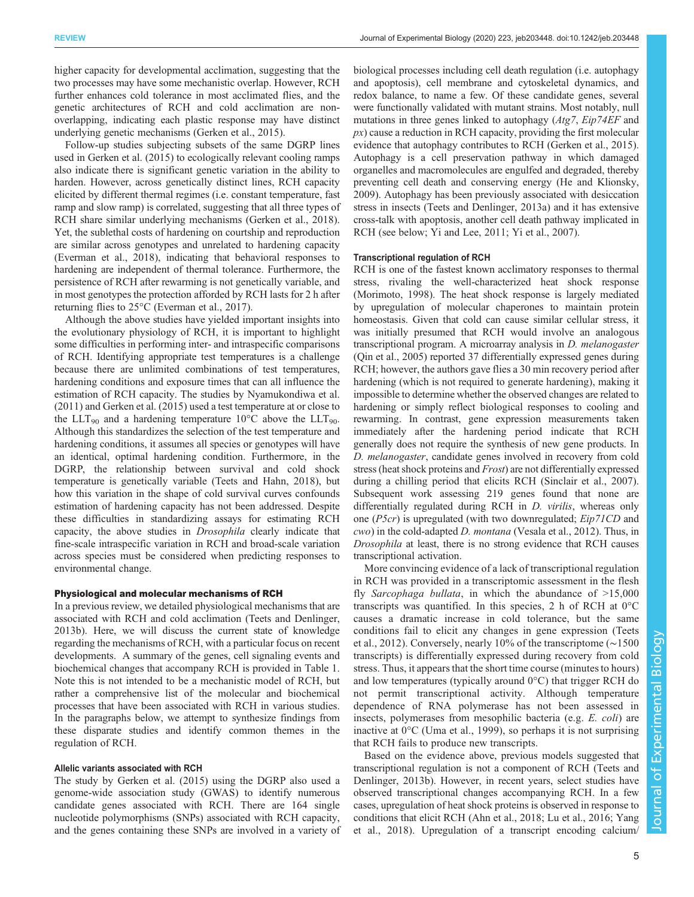higher capacity for developmental acclimation, suggesting that the two processes may have some mechanistic overlap. However, RCH further enhances cold tolerance in most acclimated flies, and the genetic architectures of RCH and cold acclimation are nonoverlapping, indicating each plastic response may have distinct underlying genetic mechanisms ([Gerken et al., 2015\)](#page-9-0).

Follow-up studies subjecting subsets of the same DGRP lines used in [Gerken et al. \(2015\)](#page-9-0) to ecologically relevant cooling ramps also indicate there is significant genetic variation in the ability to harden. However, across genetically distinct lines, RCH capacity elicited by different thermal regimes (i.e. constant temperature, fast ramp and slow ramp) is correlated, suggesting that all three types of RCH share similar underlying mechanisms ([Gerken et al., 2018\)](#page-9-0). Yet, the sublethal costs of hardening on courtship and reproduction are similar across genotypes and unrelated to hardening capacity [\(Everman et al., 2018](#page-9-0)), indicating that behavioral responses to hardening are independent of thermal tolerance. Furthermore, the persistence of RCH after rewarming is not genetically variable, and in most genotypes the protection afforded by RCH lasts for 2 h after returning flies to 25°C ([Everman et al., 2017\)](#page-9-0).

Although the above studies have yielded important insights into the evolutionary physiology of RCH, it is important to highlight some difficulties in performing inter- and intraspecific comparisons of RCH. Identifying appropriate test temperatures is a challenge because there are unlimited combinations of test temperatures, hardening conditions and exposure times that can all influence the estimation of RCH capacity. The studies by [Nyamukondiwa et al.](#page-10-0) [\(2011\)](#page-10-0) and [Gerken et al. \(2015\)](#page-9-0) used a test temperature at or close to the LLT<sub>90</sub> and a hardening temperature  $10^{\circ}$ C above the LLT<sub>90</sub>. Although this standardizes the selection of the test temperature and hardening conditions, it assumes all species or genotypes will have an identical, optimal hardening condition. Furthermore, in the DGRP, the relationship between survival and cold shock temperature is genetically variable ([Teets and Hahn, 2018](#page-11-0)), but how this variation in the shape of cold survival curves confounds estimation of hardening capacity has not been addressed. Despite these difficulties in standardizing assays for estimating RCH capacity, the above studies in Drosophila clearly indicate that fine-scale intraspecific variation in RCH and broad-scale variation across species must be considered when predicting responses to environmental change.

#### Physiological and molecular mechanisms of RCH

In a previous review, we detailed physiological mechanisms that are associated with RCH and cold acclimation ([Teets and Denlinger,](#page-11-0) [2013b\)](#page-11-0). Here, we will discuss the current state of knowledge regarding the mechanisms of RCH, with a particular focus on recent developments. A summary of the genes, cell signaling events and biochemical changes that accompany RCH is provided in [Table 1.](#page-5-0) Note this is not intended to be a mechanistic model of RCH, but rather a comprehensive list of the molecular and biochemical processes that have been associated with RCH in various studies. In the paragraphs below, we attempt to synthesize findings from these disparate studies and identify common themes in the regulation of RCH.

## Allelic variants associated with RCH

The study by [Gerken et al. \(2015\)](#page-9-0) using the DGRP also used a genome-wide association study (GWAS) to identify numerous candidate genes associated with RCH. There are 164 single nucleotide polymorphisms (SNPs) associated with RCH capacity, and the genes containing these SNPs are involved in a variety of

biological processes including cell death regulation (i.e. autophagy and apoptosis), cell membrane and cytoskeletal dynamics, and redox balance, to name a few. Of these candidate genes, several were functionally validated with mutant strains. Most notably, null mutations in three genes linked to autophagy (Atg7, Eip74EF and  $px$ ) cause a reduction in RCH capacity, providing the first molecular evidence that autophagy contributes to RCH ([Gerken et al., 2015\)](#page-9-0). Autophagy is a cell preservation pathway in which damaged organelles and macromolecules are engulfed and degraded, thereby preventing cell death and conserving energy [\(He and Klionsky,](#page-9-0) [2009\)](#page-9-0). Autophagy has been previously associated with desiccation stress in insects [\(Teets and Denlinger, 2013a\)](#page-11-0) and it has extensive cross-talk with apoptosis, another cell death pathway implicated in RCH (see below; [Yi and Lee, 2011; Yi et al., 2007](#page-11-0)).

# Transcriptional regulation of RCH

RCH is one of the fastest known acclimatory responses to thermal stress, rivaling the well-characterized heat shock response [\(Morimoto, 1998\)](#page-10-0). The heat shock response is largely mediated by upregulation of molecular chaperones to maintain protein homeostasis. Given that cold can cause similar cellular stress, it was initially presumed that RCH would involve an analogous transcriptional program. A microarray analysis in D. melanogaster [\(Qin et al., 2005\)](#page-10-0) reported 37 differentially expressed genes during RCH; however, the authors gave flies a 30 min recovery period after hardening (which is not required to generate hardening), making it impossible to determine whether the observed changes are related to hardening or simply reflect biological responses to cooling and rewarming. In contrast, gene expression measurements taken immediately after the hardening period indicate that RCH generally does not require the synthesis of new gene products. In D. melanogaster, candidate genes involved in recovery from cold stress (heat shock proteins and Frost) are not differentially expressed during a chilling period that elicits RCH [\(Sinclair et al., 2007\)](#page-11-0). Subsequent work assessing 219 genes found that none are differentially regulated during RCH in *D. virilis*, whereas only one (P5cr) is upregulated (with two downregulated; Eip71CD and cwo) in the cold-adapted D. montana [\(Vesala et al., 2012\)](#page-11-0). Thus, in Drosophila at least, there is no strong evidence that RCH causes transcriptional activation.

More convincing evidence of a lack of transcriptional regulation in RCH was provided in a transcriptomic assessment in the flesh fly Sarcophaga bullata, in which the abundance of  $>15,000$ transcripts was quantified. In this species, 2 h of RCH at 0°C causes a dramatic increase in cold tolerance, but the same conditions fail to elicit any changes in gene expression ([Teets](#page-11-0) [et al., 2012](#page-11-0)). Conversely, nearly 10% of the transcriptome (∼1500 transcripts) is differentially expressed during recovery from cold stress. Thus, it appears that the short time course (minutes to hours) and low temperatures (typically around  $0^{\circ}$ C) that trigger RCH do not permit transcriptional activity. Although temperature dependence of RNA polymerase has not been assessed in insects, polymerases from mesophilic bacteria (e.g. E. coli) are inactive at 0°C [\(Uma et al., 1999\)](#page-11-0), so perhaps it is not surprising that RCH fails to produce new transcripts.

Based on the evidence above, previous models suggested that transcriptional regulation is not a component of RCH ([Teets and](#page-11-0) [Denlinger, 2013b\)](#page-11-0). However, in recent years, select studies have observed transcriptional changes accompanying RCH. In a few cases, upregulation of heat shock proteins is observed in response to conditions that elicit RCH ([Ahn et al., 2018;](#page-8-0) [Lu et al., 2016;](#page-10-0) [Yang](#page-11-0) [et al., 2018\)](#page-11-0). Upregulation of a transcript encoding calcium/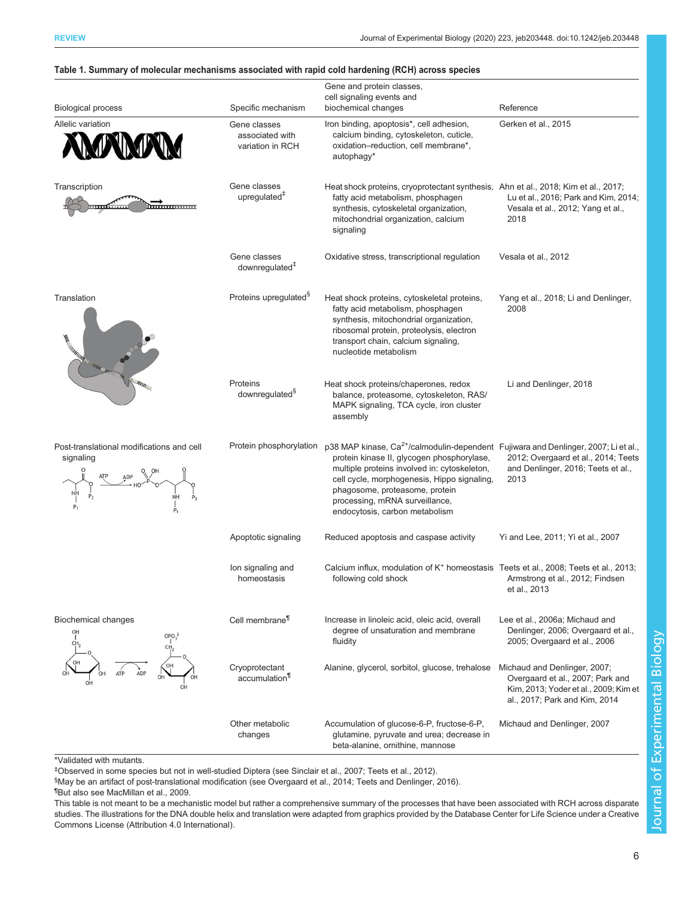| <b>Biological process</b>                                    | Specific mechanism                                  | Gene and protein classes,<br>cell signaling events and<br>biochemical changes                                                                                                                                                                                                                                                                      | Reference                                                                                                                                  |
|--------------------------------------------------------------|-----------------------------------------------------|----------------------------------------------------------------------------------------------------------------------------------------------------------------------------------------------------------------------------------------------------------------------------------------------------------------------------------------------------|--------------------------------------------------------------------------------------------------------------------------------------------|
| Allelic variation                                            | Gene classes<br>associated with<br>variation in RCH | Iron binding, apoptosis*, cell adhesion,<br>calcium binding, cytoskeleton, cuticle,<br>oxidation-reduction, cell membrane*,<br>autophagy*                                                                                                                                                                                                          | Gerken et al., 2015                                                                                                                        |
| Transcription<br>ши                                          | Gene classes<br>upregulated $†$                     | Heat shock proteins, cryoprotectant synthesis, Ahn et al., 2018; Kim et al., 2017;<br>fatty acid metabolism, phosphagen<br>synthesis, cytoskeletal organization,<br>mitochondrial organization, calcium<br>signaling                                                                                                                               | Lu et al., 2016; Park and Kim, 2014;<br>Vesala et al., 2012; Yang et al.,<br>2018                                                          |
|                                                              | Gene classes<br>downregulated <sup>+</sup>          | Oxidative stress, transcriptional regulation                                                                                                                                                                                                                                                                                                       | Vesala et al., 2012                                                                                                                        |
| Translation<br><b>Call Mills</b><br><b>ALLIMANA</b>          | Proteins upregulated <sup>9</sup>                   | Heat shock proteins, cytoskeletal proteins,<br>fatty acid metabolism, phosphagen<br>synthesis, mitochondrial organization,<br>ribosomal protein, proteolysis, electron<br>transport chain, calcium signaling,<br>nucleotide metabolism                                                                                                             | Yang et al., 2018; Li and Denlinger,<br>2008                                                                                               |
|                                                              | Proteins<br>downregulated <sup>§</sup>              | Heat shock proteins/chaperones, redox<br>balance, proteasome, cytoskeleton, RAS/<br>MAPK signaling, TCA cycle, iron cluster<br>assembly                                                                                                                                                                                                            | Li and Denlinger, 2018                                                                                                                     |
| Post-translational modifications and cell<br>signaling<br>NH | Protein phosphorylation                             | p38 MAP kinase, Ca <sup>2+</sup> /calmodulin-dependent Fujiwara and Denlinger, 2007; Li et al.,<br>protein kinase II, glycogen phosphorylase,<br>multiple proteins involved in: cytoskeleton,<br>cell cycle, morphogenesis, Hippo signaling,<br>phagosome, proteasome, protein<br>processing, mRNA surveillance,<br>endocytosis, carbon metabolism | 2012; Overgaard et al., 2014; Teets<br>and Denlinger, 2016; Teets et al.,<br>2013                                                          |
|                                                              | Apoptotic signaling                                 | Reduced apoptosis and caspase activity                                                                                                                                                                                                                                                                                                             | Yi and Lee, 2011; Yi et al., 2007                                                                                                          |
|                                                              | lon signaling and<br>homeostasis                    | Calcium influx, modulation of K <sup>+</sup> homeostasis Teets et al., 2008; Teets et al., 2013;<br>following cold shock                                                                                                                                                                                                                           | Armstrong et al., 2012; Findsen<br>et al., 2013                                                                                            |
| <b>Biochemical changes</b>                                   | Cell membrane <sup>¶</sup>                          | Increase in linoleic acid, oleic acid, overall<br>degree of unsaturation and membrane<br>fluidity                                                                                                                                                                                                                                                  | Lee et al., 2006a; Michaud and<br>Denlinger, 2006; Overgaard et al.,<br>2005; Overgaard et al., 2006                                       |
|                                                              | Cryoprotectant<br>accumulation <sup>11</sup>        | Alanine, glycerol, sorbitol, glucose, trehalose                                                                                                                                                                                                                                                                                                    | Michaud and Denlinger, 2007;<br>Overgaard et al., 2007; Park and<br>Kim, 2013; Yoder et al., 2009; Kim et<br>al., 2017; Park and Kim, 2014 |
|                                                              | Other metabolic<br>changes                          | Accumulation of glucose-6-P, fructose-6-P,<br>glutamine, pyruvate and urea; decrease in<br>beta-alanine, ornithine, mannose                                                                                                                                                                                                                        | Michaud and Denlinger, 2007                                                                                                                |

# <span id="page-5-0"></span>Table 1. Summary of molecular mechanisms associated with rapid cold hardening (RCH) across species

\*Validated with mutants.

‡ Observed in some species but not in well-studied Diptera (see [Sinclair et al., 2007](#page-11-0); [Teets et al., 2012\)](#page-11-0).

§ May be an artifact of post-translational modification (see [Overgaard et al., 2014;](#page-10-0) [Teets and Denlinger, 2016](#page-11-0)).

¶ But also see [MacMillan et al., 2009](#page-10-0).

This table is not meant to be a mechanistic model but rather a comprehensive summary of the processes that have been associated with RCH across disparate studies. The illustrations for the DNA double helix and translation were adapted from graphics provided by the Database Center for Life Science under a Creative Commons License (Attribution 4.0 International).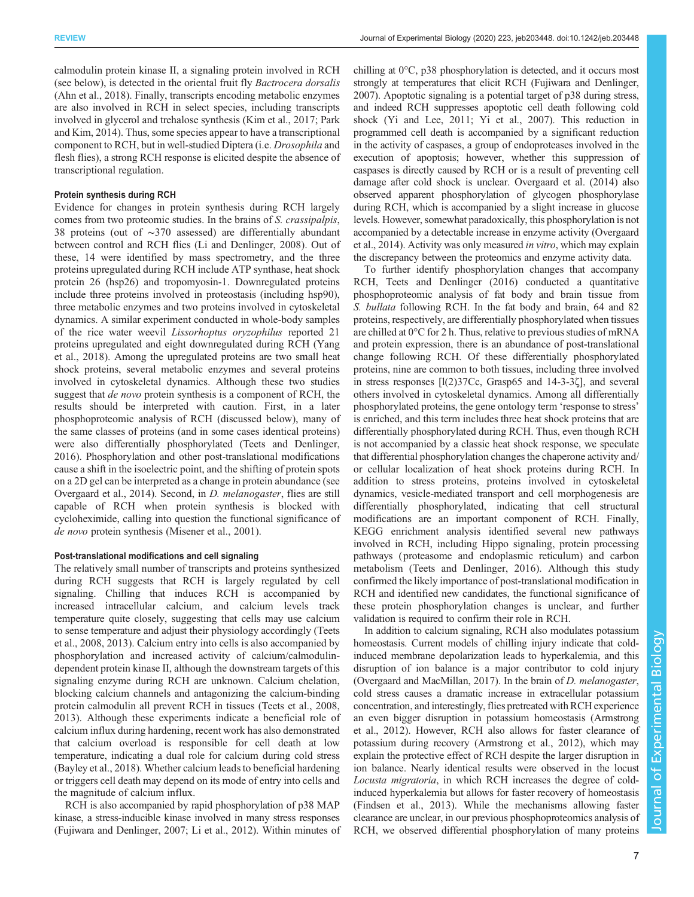calmodulin protein kinase II, a signaling protein involved in RCH (see below), is detected in the oriental fruit fly Bactrocera dorsalis [\(Ahn et al., 2018](#page-8-0)). Finally, transcripts encoding metabolic enzymes are also involved in RCH in select species, including transcripts involved in glycerol and trehalose synthesis [\(Kim et al., 2017](#page-9-0); [Park](#page-10-0) [and Kim, 2014\)](#page-10-0). Thus, some species appear to have a transcriptional component to RCH, but in well-studied Diptera (i.e. Drosophila and flesh flies), a strong RCH response is elicited despite the absence of transcriptional regulation.

## Protein synthesis during RCH

Evidence for changes in protein synthesis during RCH largely comes from two proteomic studies. In the brains of S. crassipalpis, 38 proteins (out of ∼370 assessed) are differentially abundant between control and RCH flies ([Li and Denlinger, 2008\)](#page-10-0). Out of these, 14 were identified by mass spectrometry, and the three proteins upregulated during RCH include ATP synthase, heat shock protein 26 (hsp26) and tropomyosin-1. Downregulated proteins include three proteins involved in proteostasis (including hsp90), three metabolic enzymes and two proteins involved in cytoskeletal dynamics. A similar experiment conducted in whole-body samples of the rice water weevil Lissorhoptus oryzophilus reported 21 proteins upregulated and eight downregulated during RCH ([Yang](#page-11-0) [et al., 2018](#page-11-0)). Among the upregulated proteins are two small heat shock proteins, several metabolic enzymes and several proteins involved in cytoskeletal dynamics. Although these two studies suggest that *de novo* protein synthesis is a component of RCH, the results should be interpreted with caution. First, in a later phosphoproteomic analysis of RCH (discussed below), many of the same classes of proteins (and in some cases identical proteins) were also differentially phosphorylated ([Teets and Denlinger,](#page-11-0) [2016](#page-11-0)). Phosphorylation and other post-translational modifications cause a shift in the isoelectric point, and the shifting of protein spots on a 2D gel can be interpreted as a change in protein abundance (see [Overgaard et al., 2014](#page-10-0)). Second, in D. melanogaster, flies are still capable of RCH when protein synthesis is blocked with cycloheximide, calling into question the functional significance of de novo protein synthesis [\(Misener et al., 2001](#page-10-0)).

# Post-translational modifications and cell signaling

The relatively small number of transcripts and proteins synthesized during RCH suggests that RCH is largely regulated by cell signaling. Chilling that induces RCH is accompanied by increased intracellular calcium, and calcium levels track temperature quite closely, suggesting that cells may use calcium to sense temperature and adjust their physiology accordingly [\(Teets](#page-11-0) [et al., 2008, 2013](#page-11-0)). Calcium entry into cells is also accompanied by phosphorylation and increased activity of calcium/calmodulindependent protein kinase II, although the downstream targets of this signaling enzyme during RCH are unknown. Calcium chelation, blocking calcium channels and antagonizing the calcium-binding protein calmodulin all prevent RCH in tissues [\(Teets et al., 2008,](#page-11-0) [2013](#page-11-0)). Although these experiments indicate a beneficial role of calcium influx during hardening, recent work has also demonstrated that calcium overload is responsible for cell death at low temperature, indicating a dual role for calcium during cold stress [\(Bayley et al., 2018](#page-9-0)). Whether calcium leads to beneficial hardening or triggers cell death may depend on its mode of entry into cells and the magnitude of calcium influx.

RCH is also accompanied by rapid phosphorylation of p38 MAP kinase, a stress-inducible kinase involved in many stress responses [\(Fujiwara and Denlinger, 2007;](#page-9-0) [Li et al., 2012](#page-10-0)). Within minutes of chilling at 0°C, p38 phosphorylation is detected, and it occurs most strongly at temperatures that elicit RCH ([Fujiwara and Denlinger,](#page-9-0) [2007\)](#page-9-0). Apoptotic signaling is a potential target of p38 during stress, and indeed RCH suppresses apoptotic cell death following cold shock [\(Yi and Lee, 2011](#page-11-0); [Yi et al., 2007\)](#page-11-0). This reduction in programmed cell death is accompanied by a significant reduction in the activity of caspases, a group of endoproteases involved in the execution of apoptosis; however, whether this suppression of caspases is directly caused by RCH or is a result of preventing cell damage after cold shock is unclear. [Overgaard et al. \(2014\)](#page-10-0) also observed apparent phosphorylation of glycogen phosphorylase during RCH, which is accompanied by a slight increase in glucose levels. However, somewhat paradoxically, this phosphorylation is not accompanied by a detectable increase in enzyme activity [\(Overgaard](#page-10-0) [et al., 2014](#page-10-0)). Activity was only measured in vitro, which may explain the discrepancy between the proteomics and enzyme activity data.

To further identify phosphorylation changes that accompany RCH, [Teets and Denlinger \(2016\)](#page-11-0) conducted a quantitative phosphoproteomic analysis of fat body and brain tissue from S. *bullata* following RCH. In the fat body and brain, 64 and 82 proteins, respectively, are differentially phosphorylated when tissues are chilled at 0°C for 2 h. Thus, relative to previous studies of mRNA and protein expression, there is an abundance of post-translational change following RCH. Of these differentially phosphorylated proteins, nine are common to both tissues, including three involved in stress responses [l(2)37Cc, Grasp65 and 14-3-3ζ], and several others involved in cytoskeletal dynamics. Among all differentially phosphorylated proteins, the gene ontology term 'response to stress' is enriched, and this term includes three heat shock proteins that are differentially phosphorylated during RCH. Thus, even though RCH is not accompanied by a classic heat shock response, we speculate that differential phosphorylation changes the chaperone activity and/ or cellular localization of heat shock proteins during RCH. In addition to stress proteins, proteins involved in cytoskeletal dynamics, vesicle-mediated transport and cell morphogenesis are differentially phosphorylated, indicating that cell structural modifications are an important component of RCH. Finally, KEGG enrichment analysis identified several new pathways involved in RCH, including Hippo signaling, protein processing pathways ( proteasome and endoplasmic reticulum) and carbon metabolism [\(Teets and Denlinger, 2016\)](#page-11-0). Although this study confirmed the likely importance of post-translational modification in RCH and identified new candidates, the functional significance of these protein phosphorylation changes is unclear, and further validation is required to confirm their role in RCH.

In addition to calcium signaling, RCH also modulates potassium homeostasis. Current models of chilling injury indicate that coldinduced membrane depolarization leads to hyperkalemia, and this disruption of ion balance is a major contributor to cold injury [\(Overgaard and MacMillan, 2017\)](#page-10-0). In the brain of D. melanogaster, cold stress causes a dramatic increase in extracellular potassium concentration, and interestingly, flies pretreated with RCH experience an even bigger disruption in potassium homeostasis [\(Armstrong](#page-8-0) [et al., 2012](#page-8-0)). However, RCH also allows for faster clearance of potassium during recovery ([Armstrong et al., 2012](#page-8-0)), which may explain the protective effect of RCH despite the larger disruption in ion balance. Nearly identical results were observed in the locust Locusta migratoria, in which RCH increases the degree of coldinduced hyperkalemia but allows for faster recovery of homeostasis [\(Findsen et al., 2013](#page-9-0)). While the mechanisms allowing faster clearance are unclear, in our previous phosphoproteomics analysis of RCH, we observed differential phosphorylation of many proteins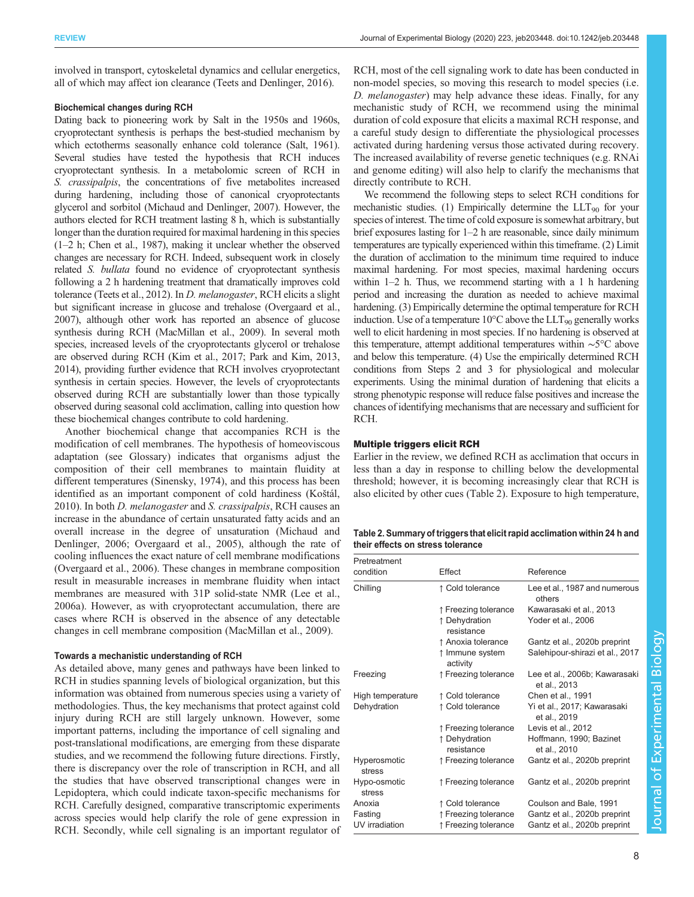involved in transport, cytoskeletal dynamics and cellular energetics, all of which may affect ion clearance [\(Teets and Denlinger, 2016\)](#page-11-0).

# Biochemical changes during RCH

Dating back to pioneering work by Salt in the 1950s and 1960s, cryoprotectant synthesis is perhaps the best-studied mechanism by which ectotherms seasonally enhance cold tolerance ([Salt, 1961\)](#page-11-0). Several studies have tested the hypothesis that RCH induces cryoprotectant synthesis. In a metabolomic screen of RCH in S. crassipalpis, the concentrations of five metabolites increased during hardening, including those of canonical cryoprotectants glycerol and sorbitol [\(Michaud and Denlinger, 2007](#page-10-0)). However, the authors elected for RCH treatment lasting 8 h, which is substantially longer than the duration required for maximal hardening in this species (1–2 h; [Chen et al., 1987](#page-9-0)), making it unclear whether the observed changes are necessary for RCH. Indeed, subsequent work in closely related S. bullata found no evidence of cryoprotectant synthesis following a 2 h hardening treatment that dramatically improves cold tolerance [\(Teets et al., 2012](#page-11-0)). In D. melanogaster, RCH elicits a slight but significant increase in glucose and trehalose ([Overgaard et al.,](#page-10-0) [2007](#page-10-0)), although other work has reported an absence of glucose synthesis during RCH [\(MacMillan et al., 2009\)](#page-10-0). In several moth species, increased levels of the cryoprotectants glycerol or trehalose are observed during RCH ([Kim et al., 2017](#page-9-0); [Park and Kim, 2013,](#page-10-0) [2014](#page-10-0)), providing further evidence that RCH involves cryoprotectant synthesis in certain species. However, the levels of cryoprotectants observed during RCH are substantially lower than those typically observed during seasonal cold acclimation, calling into question how these biochemical changes contribute to cold hardening.

Another biochemical change that accompanies RCH is the modification of cell membranes. The hypothesis of homeoviscous adaptation (see Glossary) indicates that organisms adjust the composition of their cell membranes to maintain fluidity at different temperatures [\(Sinensky, 1974](#page-11-0)), and this process has been identified as an important component of cold hardiness (Koš[tál,](#page-9-0) [2010](#page-9-0)). In both D. melanogaster and S. crassipalpis, RCH causes an increase in the abundance of certain unsaturated fatty acids and an overall increase in the degree of unsaturation ([Michaud and](#page-10-0) [Denlinger, 2006; Overgaard et al., 2005\)](#page-10-0), although the rate of cooling influences the exact nature of cell membrane modifications [\(Overgaard et al., 2006](#page-10-0)). These changes in membrane composition result in measurable increases in membrane fluidity when intact membranes are measured with 31P solid-state NMR ([Lee et al.,](#page-10-0) [2006a](#page-10-0)). However, as with cryoprotectant accumulation, there are cases where RCH is observed in the absence of any detectable changes in cell membrane composition ([MacMillan et al., 2009\)](#page-10-0).

# Towards a mechanistic understanding of RCH

As detailed above, many genes and pathways have been linked to RCH in studies spanning levels of biological organization, but this information was obtained from numerous species using a variety of methodologies. Thus, the key mechanisms that protect against cold injury during RCH are still largely unknown. However, some important patterns, including the importance of cell signaling and post-translational modifications, are emerging from these disparate studies, and we recommend the following future directions. Firstly, there is discrepancy over the role of transcription in RCH, and all the studies that have observed transcriptional changes were in Lepidoptera, which could indicate taxon-specific mechanisms for RCH. Carefully designed, comparative transcriptomic experiments across species would help clarify the role of gene expression in RCH. Secondly, while cell signaling is an important regulator of RCH, most of the cell signaling work to date has been conducted in non-model species, so moving this research to model species (i.e. D. melanogaster) may help advance these ideas. Finally, for any mechanistic study of RCH, we recommend using the minimal duration of cold exposure that elicits a maximal RCH response, and a careful study design to differentiate the physiological processes activated during hardening versus those activated during recovery. The increased availability of reverse genetic techniques (e.g. RNAi and genome editing) will also help to clarify the mechanisms that directly contribute to RCH.

We recommend the following steps to select RCH conditions for mechanistic studies. (1) Empirically determine the  $LLT_{90}$  for your species of interest. The time of cold exposure is somewhat arbitrary, but brief exposures lasting for 1–2 h are reasonable, since daily minimum temperatures are typically experienced within this timeframe. (2) Limit the duration of acclimation to the minimum time required to induce maximal hardening. For most species, maximal hardening occurs within 1–2 h. Thus, we recommend starting with a 1 h hardening period and increasing the duration as needed to achieve maximal hardening. (3) Empirically determine the optimal temperature for RCH induction. Use of a temperature  $10^{\circ}$ C above the LLT<sub>90</sub> generally works well to elicit hardening in most species. If no hardening is observed at this temperature, attempt additional temperatures within ∼5°C above and below this temperature. (4) Use the empirically determined RCH conditions from Steps 2 and 3 for physiological and molecular experiments. Using the minimal duration of hardening that elicits a strong phenotypic response will reduce false positives and increase the chances of identifying mechanisms that are necessary and sufficient for RCH.

### Multiple triggers elicit RCH

Earlier in the review, we defined RCH as acclimation that occurs in less than a day in response to chilling below the developmental threshold; however, it is becoming increasingly clear that RCH is also elicited by other cues (Table 2). Exposure to high temperature,

| Table 2. Summary of triggers that elicit rapid acclimation within 24 h and |  |
|----------------------------------------------------------------------------|--|
| their effects on stress tolerance                                          |  |

| Pretreatment           |                             |                                               |
|------------------------|-----------------------------|-----------------------------------------------|
| condition              | Effect                      | Reference                                     |
| Chilling               | ↑ Cold tolerance            | Lee et al., 1987 and numerous<br>others       |
|                        | ↑ Freezing tolerance        | Kawarasaki et al., 2013                       |
|                        | ↑ Dehydration<br>resistance | Yoder et al., 2006                            |
|                        | ↑ Anoxia tolerance          | Gantz et al., 2020b preprint                  |
|                        | ↑ Immune system<br>activity | Salehipour-shirazi et al., 2017               |
| Freezing               | ↑ Freezing tolerance        | Lee et al., 2006b; Kawarasaki<br>et al., 2013 |
| High temperature       | ↑ Cold tolerance            | Chen et al., 1991                             |
| Dehydration            | ↑ Cold tolerance            | Yi et al., 2017; Kawarasaki<br>et al., 2019   |
|                        | ↑ Freezing tolerance        | Levis et al., 2012                            |
|                        | ↑ Dehydration<br>resistance | Hoffmann, 1990; Bazinet<br>et al., 2010       |
| Hyperosmotic<br>stress | ↑ Freezing tolerance        | Gantz et al., 2020b preprint                  |
| Hypo-osmotic<br>stress | ↑ Freezing tolerance        | Gantz et al., 2020b preprint                  |
| Anoxia                 | ↑ Cold tolerance            | Coulson and Bale, 1991                        |
| Fasting                | ↑ Freezing tolerance        | Gantz et al., 2020b preprint                  |
| UV irradiation         | ↑ Freezing tolerance        | Gantz et al., 2020b preprint                  |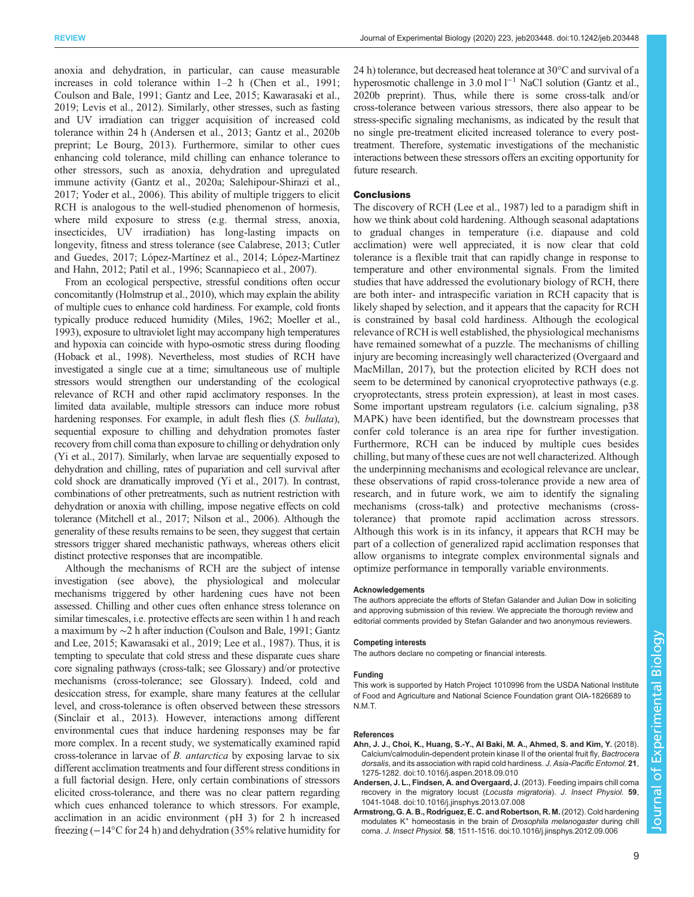<span id="page-8-0"></span>anoxia and dehydration, in particular, can cause measurable increases in cold tolerance within 1–2 h ([Chen et al., 1991](#page-9-0); [Coulson and Bale, 1991; Gantz and Lee, 2015; Kawarasaki et al.,](#page-9-0) [2019](#page-9-0); [Levis et al., 2012](#page-10-0)). Similarly, other stresses, such as fasting and UV irradiation can trigger acquisition of increased cold tolerance within 24 h (Andersen et al., 2013; [Gantz et al., 2020b](#page-9-0) [preprint;](#page-9-0) [Le Bourg, 2013\)](#page-10-0). Furthermore, similar to other cues enhancing cold tolerance, mild chilling can enhance tolerance to other stressors, such as anoxia, dehydration and upregulated immune activity ([Gantz et al., 2020a;](#page-9-0) [Salehipour-Shirazi et al.,](#page-11-0) [2017](#page-11-0); [Yoder et al., 2006](#page-11-0)). This ability of multiple triggers to elicit RCH is analogous to the well-studied phenomenon of hormesis, where mild exposure to stress (e.g. thermal stress, anoxia, insecticides, UV irradiation) has long-lasting impacts on longevity, fitness and stress tolerance (see [Calabrese, 2013](#page-9-0); [Cutler](#page-9-0) [and Guedes, 2017;](#page-9-0) [López-Martínez et al., 2014](#page-10-0); [López-Martínez](#page-10-0) [and Hahn, 2012; Patil et al., 1996](#page-10-0); [Scannapieco et al., 2007](#page-11-0)).

From an ecological perspective, stressful conditions often occur concomitantly [\(Holmstrup et al., 2010\)](#page-9-0), which may explain the ability of multiple cues to enhance cold hardiness. For example, cold fronts typically produce reduced humidity ([Miles, 1962; Moeller et al.,](#page-10-0) [1993](#page-10-0)), exposure to ultraviolet light may accompany high temperatures and hypoxia can coincide with hypo-osmotic stress during flooding [\(Hoback et al., 1998\)](#page-9-0). Nevertheless, most studies of RCH have investigated a single cue at a time; simultaneous use of multiple stressors would strengthen our understanding of the ecological relevance of RCH and other rapid acclimatory responses. In the limited data available, multiple stressors can induce more robust hardening responses. For example, in adult flesh flies (S. bullata), sequential exposure to chilling and dehydration promotes faster recovery from chill coma than exposure to chilling or dehydration only [\(Yi et al., 2017\)](#page-11-0). Similarly, when larvae are sequentially exposed to dehydration and chilling, rates of pupariation and cell survival after cold shock are dramatically improved ([Yi et al., 2017\)](#page-11-0). In contrast, combinations of other pretreatments, such as nutrient restriction with dehydration or anoxia with chilling, impose negative effects on cold tolerance [\(Mitchell et al., 2017; Nilson et al., 2006\)](#page-10-0). Although the generality of these results remains to be seen, they suggest that certain stressors trigger shared mechanistic pathways, whereas others elicit distinct protective responses that are incompatible.

Although the mechanisms of RCH are the subject of intense investigation (see above), the physiological and molecular mechanisms triggered by other hardening cues have not been assessed. Chilling and other cues often enhance stress tolerance on similar timescales, i.e. protective effects are seen within 1 h and reach a maximum by ∼2 h after induction ([Coulson and Bale, 1991](#page-9-0); [Gantz](#page-9-0) [and Lee, 2015](#page-9-0); [Kawarasaki et al., 2019;](#page-9-0) [Lee et al., 1987](#page-10-0)). Thus, it is tempting to speculate that cold stress and these disparate cues share core signaling pathways (cross-talk; see Glossary) and/or protective mechanisms (cross-tolerance; see Glossary). Indeed, cold and desiccation stress, for example, share many features at the cellular level, and cross-tolerance is often observed between these stressors [\(Sinclair et al., 2013\)](#page-11-0). However, interactions among different environmental cues that induce hardening responses may be far more complex. In a recent study, we systematically examined rapid cross-tolerance in larvae of B. antarctica by exposing larvae to six different acclimation treatments and four different stress conditions in a full factorial design. Here, only certain combinations of stressors elicited cross-tolerance, and there was no clear pattern regarding which cues enhanced tolerance to which stressors. For example, acclimation in an acidic environment (pH 3) for 2 h increased freezing (−14°C for 24 h) and dehydration (35% relative humidity for

24 h) tolerance, but decreased heat tolerance at 30°C and survival of a hyperosmotic challenge in 3.0 mol l−<sup>1</sup> NaCl solution ([Gantz et al.,](#page-9-0) [2020b preprint](#page-9-0)). Thus, while there is some cross-talk and/or cross-tolerance between various stressors, there also appear to be stress-specific signaling mechanisms, as indicated by the result that no single pre-treatment elicited increased tolerance to every posttreatment. Therefore, systematic investigations of the mechanistic interactions between these stressors offers an exciting opportunity for future research.

#### Conclusions

The discovery of RCH ([Lee et al., 1987\)](#page-10-0) led to a paradigm shift in how we think about cold hardening. Although seasonal adaptations to gradual changes in temperature (i.e. diapause and cold acclimation) were well appreciated, it is now clear that cold tolerance is a flexible trait that can rapidly change in response to temperature and other environmental signals. From the limited studies that have addressed the evolutionary biology of RCH, there are both inter- and intraspecific variation in RCH capacity that is likely shaped by selection, and it appears that the capacity for RCH is constrained by basal cold hardiness. Although the ecological relevance of RCH is well established, the physiological mechanisms have remained somewhat of a puzzle. The mechanisms of chilling injury are becoming increasingly well characterized ([Overgaard and](#page-10-0) [MacMillan, 2017](#page-10-0)), but the protection elicited by RCH does not seem to be determined by canonical cryoprotective pathways (e.g. cryoprotectants, stress protein expression), at least in most cases. Some important upstream regulators (i.e. calcium signaling, p38 MAPK) have been identified, but the downstream processes that confer cold tolerance is an area ripe for further investigation. Furthermore, RCH can be induced by multiple cues besides chilling, but many of these cues are not well characterized. Although the underpinning mechanisms and ecological relevance are unclear, these observations of rapid cross-tolerance provide a new area of research, and in future work, we aim to identify the signaling mechanisms (cross-talk) and protective mechanisms (crosstolerance) that promote rapid acclimation across stressors. Although this work is in its infancy, it appears that RCH may be part of a collection of generalized rapid acclimation responses that allow organisms to integrate complex environmental signals and optimize performance in temporally variable environments.

#### **Acknowledgements**

The authors appreciate the efforts of Stefan Galander and Julian Dow in soliciting and approving submission of this review. We appreciate the thorough review and editorial comments provided by Stefan Galander and two anonymous reviewers.

#### Competing interests

The authors declare no competing or financial interests.

#### Funding

This work is supported by Hatch Project 1010996 from the USDA National Institute of Food and Agriculture and National Science Foundation grant OIA-1826689 to N.M.T.

#### References

- [Ahn, J. J., Choi, K., Huang, S.-Y., Al Baki, M. A., Ahmed, S. and Kim, Y.](https://doi.org/10.1016/j.aspen.2018.09.010) (2018). [Calcium/calmodulin-dependent protein kinase II of the oriental fruit fly,](https://doi.org/10.1016/j.aspen.2018.09.010) Bactrocera dorsalis[, and its association with rapid cold hardiness.](https://doi.org/10.1016/j.aspen.2018.09.010) J. Asia-Pacific Entomol. 21, [1275-1282. doi:10.1016/j.aspen.2018.09.010](https://doi.org/10.1016/j.aspen.2018.09.010)
- [Andersen, J. L., Findsen, A. and Overgaard, J.](https://doi.org/10.1016/j.jinsphys.2013.07.008) (2013). Feeding impairs chill coma [recovery in the migratory locust \(](https://doi.org/10.1016/j.jinsphys.2013.07.008)Locusta migratoria). J. Insect Physiol. 59, [1041-1048. doi:10.1016/j.jinsphys.2013.07.008](https://doi.org/10.1016/j.jinsphys.2013.07.008)
- Armstrong, G. A. B., Rodrí[guez, E. C. and Robertson, R. M.](https://doi.org/10.1016/j.jinsphys.2012.09.006) (2012). Cold hardening modulates K<sup>+</sup> [homeostasis in the brain of](https://doi.org/10.1016/j.jinsphys.2012.09.006) Drosophila melanogaster during chill coma. J. Insect Physiol. 58[, 1511-1516. doi:10.1016/j.jinsphys.2012.09.006](https://doi.org/10.1016/j.jinsphys.2012.09.006)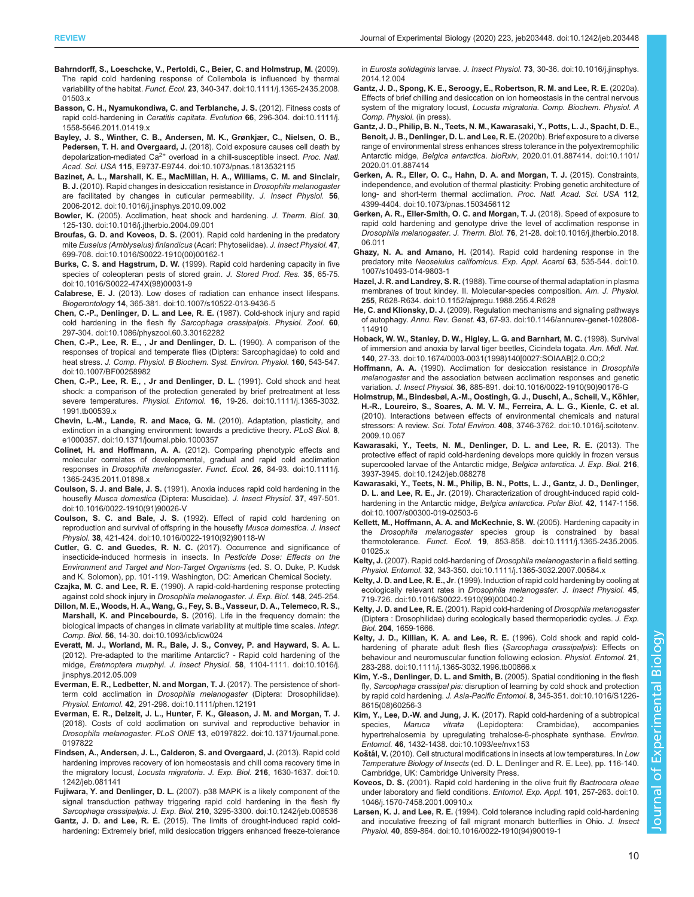- <span id="page-9-0"></span>[Bahrndorff, S., Loeschcke, V., Pertoldi, C., Beier, C. and Holmstrup, M.](https://doi.org/10.1111/j.1365-2435.2008.01503.x) (2009). [The rapid cold hardening response of Collembola is influenced by thermal](https://doi.org/10.1111/j.1365-2435.2008.01503.x) variability of the habitat. Funct. Ecol. 23[, 340-347. doi:10.1111/j.1365-2435.2008.](https://doi.org/10.1111/j.1365-2435.2008.01503.x) [01503.x](https://doi.org/10.1111/j.1365-2435.2008.01503.x)
- [Basson, C. H., Nyamukondiwa, C. and Terblanche, J. S.](https://doi.org/10.1111/j.1558-5646.2011.01419.x) (2012). Fitness costs of rapid cold-hardening in Ceratitis capitata. Evolution 66[, 296-304. doi:10.1111/j.](https://doi.org/10.1111/j.1558-5646.2011.01419.x) [1558-5646.2011.01419.x](https://doi.org/10.1111/j.1558-5646.2011.01419.x)
- [Bayley, J. S., Winther, C. B., Andersen, M. K., Grønkjær, C., Nielsen, O. B.,](https://doi.org/10.1073/pnas.1813532115) Pedersen, T. H. and Overgaard, J. [\(2018\). Cold exposure causes cell death by](https://doi.org/10.1073/pnas.1813532115) [depolarization-mediated](https://doi.org/10.1073/pnas.1813532115)  $Ca^{2+}$  $Ca^{2+}$  [overload in a chill-susceptible insect.](https://doi.org/10.1073/pnas.1813532115) Proc. Natl. Acad. Sci. USA 115[, E9737-E9744. doi:10.1073/pnas.1813532115](https://doi.org/10.1073/pnas.1813532115)
- [Bazinet, A. L., Marshall, K. E., MacMillan, H. A., Williams, C. M. and Sinclair,](https://doi.org/10.1016/j.jinsphys.2010.09.002) **B. J.** [\(2010\). Rapid changes in desiccation resistance in](https://doi.org/10.1016/j.jinsphys.2010.09.002) *Drosophila melanogaster* [are facilitated by changes in cuticular permeability.](https://doi.org/10.1016/j.jinsphys.2010.09.002) J. Insect Physiol. 56, [2006-2012. doi:10.1016/j.jinsphys.2010.09.002](https://doi.org/10.1016/j.jinsphys.2010.09.002)
- Bowler, K. [\(2005\). Acclimation, heat shock and hardening.](https://doi.org/10.1016/j.jtherbio.2004.09.001) J. Therm. Biol. 30, [125-130. doi:10.1016/j.jtherbio.2004.09.001](https://doi.org/10.1016/j.jtherbio.2004.09.001)
- Broufas, G. D. and Koveos, D. S. [\(2001\). Rapid cold hardening in the predatory](https://doi.org/10.1016/S0022-1910(00)00162-1) mite [Euseius \(Amblyseius\) finlandicus](https://doi.org/10.1016/S0022-1910(00)00162-1) (Acari: Phytoseiidae). J. Insect Physiol. 47, [699-708. doi:10.1016/S0022-1910\(00\)00162-1](https://doi.org/10.1016/S0022-1910(00)00162-1)
- Burks, C. S. and Hagstrum, D. W. [\(1999\). Rapid cold hardening capacity in five](https://doi.org/10.1016/S0022-474X(98)00031-9) [species of coleopteran pests of stored grain.](https://doi.org/10.1016/S0022-474X(98)00031-9) J. Stored Prod. Res. 35, 65-75. [doi:10.1016/S0022-474X\(98\)00031-9](https://doi.org/10.1016/S0022-474X(98)00031-9)
- Calabrese, E. J. [\(2013\). Low doses of radiation can enhance insect lifespans.](https://doi.org/10.1007/s10522-013-9436-5) Biogerontology 14[, 365-381. doi:10.1007/s10522-013-9436-5](https://doi.org/10.1007/s10522-013-9436-5)
- [Chen, C.-P., Denlinger, D. L. and Lee, R. E.](https://doi.org/10.1086/physzool.60.3.30162282) (1987). Cold-shock injury and rapid [cold hardening in the flesh fly](https://doi.org/10.1086/physzool.60.3.30162282) Sarcophaga crassipalpis. Physiol. Zool. 60, [297-304. doi:10.1086/physzool.60.3.30162282](https://doi.org/10.1086/physzool.60.3.30162282)
- [Chen, C.-P., Lee, R. E., , Jr and Denlinger, D. L.](https://doi.org/10.1007/BF00258982) (1990). A comparison of the [responses of tropical and temperate flies \(Diptera: Sarcophagidae\) to cold and](https://doi.org/10.1007/BF00258982) heat stress. [J. Comp. Physiol. B Biochem. Syst. Environ. Physiol.](https://doi.org/10.1007/BF00258982) 160, 543-547. [doi:10.1007/BF00258982](https://doi.org/10.1007/BF00258982)
- [Chen, C.-P., Lee, R. E., , Jr and Denlinger, D. L.](https://doi.org/10.1111/j.1365-3032.1991.tb00539.x) (1991). Cold shock and heat [shock: a comparison of the protection generated by brief pretreatment at less](https://doi.org/10.1111/j.1365-3032.1991.tb00539.x) severe temperatures. Physiol. Entomol. 16[, 19-26. doi:10.1111/j.1365-3032.](https://doi.org/10.1111/j.1365-3032.1991.tb00539.x) [1991.tb00539.x](https://doi.org/10.1111/j.1365-3032.1991.tb00539.x)
- [Chevin, L.-M., Lande, R. and Mace, G. M.](https://doi.org/10.1371/journal.pbio.1000357) (2010). Adaptation, plasticity, and [extinction in a changing environment: towards a predictive theory.](https://doi.org/10.1371/journal.pbio.1000357) PLoS Biol. 8, [e1000357. doi:10.1371/journal.pbio.1000357](https://doi.org/10.1371/journal.pbio.1000357)
- Colinet, H. and Hoffmann, A. A. [\(2012\). Comparing phenotypic effects and](https://doi.org/10.1111/j.1365-2435.2011.01898.x) [molecular correlates of developmental, gradual and rapid cold acclimation](https://doi.org/10.1111/j.1365-2435.2011.01898.x) responses in [Drosophila melanogaster](https://doi.org/10.1111/j.1365-2435.2011.01898.x). Funct. Ecol. 26, 84-93. doi:10.1111/j. [1365-2435.2011.01898.x](https://doi.org/10.1111/j.1365-2435.2011.01898.x)
- Coulson, S. J. and Bale, J. S. [\(1991\). Anoxia induces rapid cold hardening in the](https://doi.org/10.1016/0022-1910(91)90026-V) housefly Musca domestica [\(Diptera: Muscidae\).](https://doi.org/10.1016/0022-1910(91)90026-V) J. Insect Physiol. 37, 497-501. [doi:10.1016/0022-1910\(91\)90026-V](https://doi.org/10.1016/0022-1910(91)90026-V)
- Coulson, S. C. and Bale, J. S. [\(1992\). Effect of rapid cold hardening on](https://doi.org/10.1016/0022-1910(92)90118-W) [reproduction and survival of offspring in the housefly](https://doi.org/10.1016/0022-1910(92)90118-W) Musca domestica. J. Insect Physiol. 38[, 421-424. doi:10.1016/0022-1910\(92\)90118-W](https://doi.org/10.1016/0022-1910(92)90118-W)
- Cutler, G. C. and Guedes, R. N. C. (2017). Occurrence and significance of insecticide-induced hormesis in insects. In Pesticide Dose: Effects on the Environment and Target and Non-Target Organisms (ed. S. O. Duke, P. Kudsk and K. Solomon), pp. 101-119. Washington, DC: American Chemical Society.
- Czajka, M. C. and Lee, R. E. (1990). A rapid-cold-hardening response protecting against cold shock injury in Drosophila melanogaster. J. Exp. Biol. 148, 245-254.
- [Dillon, M. E., Woods, H. A., Wang, G., Fey, S. B., Vasseur, D. A., Telemeco, R. S.,](https://doi.org/10.1093/icb/icw024) Marshall, K. and Pincebourde, S. [\(2016\). Life in the frequency domain: the](https://doi.org/10.1093/icb/icw024) [biological impacts of changes in climate variability at multiple time scales.](https://doi.org/10.1093/icb/icw024) *Integr.* Comp. Biol. 56[, 14-30. doi:10.1093/icb/icw024](https://doi.org/10.1093/icb/icw024)
- [Everatt, M. J., Worland, M. R., Bale, J. S., Convey, P. and Hayward, S. A. L.](https://doi.org/10.1016/j.jinsphys.2012.05.009) [\(2012\). Pre-adapted to the maritime Antarctic? - Rapid cold hardening of the](https://doi.org/10.1016/j.jinsphys.2012.05.009) midge, Eretmoptera murphyi. J. Insect Physiol. 58[, 1104-1111. doi:10.1016/j.](https://doi.org/10.1016/j.jinsphys.2012.05.009) [jinsphys.2012.05.009](https://doi.org/10.1016/j.jinsphys.2012.05.009)
- [Everman, E. R., Ledbetter, N. and Morgan, T. J.](https://doi.org/10.1111/phen.12191) (2017). The persistence of shortterm cold acclimation in [Drosophila melanogaster](https://doi.org/10.1111/phen.12191) (Diptera: Drosophilidae). Physiol. Entomol. 42[, 291-298. doi:10.1111/phen.12191](https://doi.org/10.1111/phen.12191)
- [Everman, E. R., Delzeit, J. L., Hunter, F. K., Gleason, J. M. and Morgan, T. J.](https://doi.org/10.1371/journal.pone.0197822) [\(2018\). Costs of cold acclimation on survival and reproductive behavior in](https://doi.org/10.1371/journal.pone.0197822) Drosophila melanogaster. PLoS ONE 13[, e0197822. doi:10.1371/journal.pone.](https://doi.org/10.1371/journal.pone.0197822) [0197822](https://doi.org/10.1371/journal.pone.0197822)
- [Findsen, A., Andersen, J. L., Calderon, S. and Overgaard, J.](https://doi.org/10.1242/jeb.081141) (2013). Rapid cold [hardening improves recovery of ion homeostasis and chill coma recovery time in](https://doi.org/10.1242/jeb.081141) [the migratory locust,](https://doi.org/10.1242/jeb.081141) Locusta migratoria. J. Exp. Biol. 216, 1630-1637. doi:10. [1242/jeb.081141](https://doi.org/10.1242/jeb.081141)
- Fujiwara, Y. and Denlinger, D. L. [\(2007\). p38 MAPK is a likely component of the](https://doi.org/10.1242/jeb.006536) [signal transduction pathway triggering rapid cold hardening in the flesh fly](https://doi.org/10.1242/jeb.006536) Sarcophaga crassipalpis. J. Exp. Biol. 210[, 3295-3300. doi:10.1242/jeb.006536](https://doi.org/10.1242/jeb.006536)
- Gantz, J. D. and Lee, R. E. [\(2015\). The limits of drought-induced rapid cold](https://doi.org/10.1016/j.jinsphys.2014.12.004)[hardening: Extremely brief, mild desiccation triggers enhanced freeze-tolerance](https://doi.org/10.1016/j.jinsphys.2014.12.004)

in Eurosta solidaginis larvae. J. Insect Physiol. 73[, 30-36. doi:10.1016/j.jinsphys.](https://doi.org/10.1016/j.jinsphys.2014.12.004) [2014.12.004](https://doi.org/10.1016/j.jinsphys.2014.12.004)

- Gantz, J. D., Spong, K. E., Seroogy, E., Robertson, R. M. and Lee, R. E. (2020a). Effects of brief chilling and desiccation on ion homeostasis in the central nervous system of the migratory locust, Locusta migratoria. Comp. Biochem. Physiol. A Comp. Physiol. (in press).
- [Gantz, J. D., Philip, B. N., Teets, N. M., Kawarasaki, Y., Potts, L. J., Spacht, D. E.,](https://doi.org/10.1101/2020.01.01.887414) [Benoit, J. B., Denlinger, D. L. and Lee, R. E.](https://doi.org/10.1101/2020.01.01.887414) (2020b). Brief exposure to a diverse [range of environmental stress enhances stress tolerance in the polyextremophilic](https://doi.org/10.1101/2020.01.01.887414) Antarctic midge, Belgica antarctica. bioRxiv[, 2020.01.01.887414. doi:10.1101/](https://doi.org/10.1101/2020.01.01.887414) [2020.01.01.887414](https://doi.org/10.1101/2020.01.01.887414)
- [Gerken, A. R., Eller, O. C., Hahn, D. A. and Morgan, T. J.](https://doi.org/10.1073/pnas.1503456112) (2015). Constraints, [independence, and evolution of thermal plasticity: Probing genetic architecture of](https://doi.org/10.1073/pnas.1503456112) [long- and short-term thermal acclimation.](https://doi.org/10.1073/pnas.1503456112) Proc. Natl. Acad. Sci. USA 112, [4399-4404. doi:10.1073/pnas.1503456112](https://doi.org/10.1073/pnas.1503456112)
- [Gerken, A. R., Eller-Smith, O. C. and Morgan, T. J.](https://doi.org/10.1016/j.jtherbio.2018.06.011) (2018). Speed of exposure to [rapid cold hardening and genotype drive the level of acclimation response in](https://doi.org/10.1016/j.jtherbio.2018.06.011) Drosophila melanogaster. J. Therm. Biol. 76[, 21-28. doi:10.1016/j.jtherbio.2018.](https://doi.org/10.1016/j.jtherbio.2018.06.011) [06.011](https://doi.org/10.1016/j.jtherbio.2018.06.011)
- Ghazy, N. A. and Amano, H. [\(2014\). Rapid cold hardening response in the](https://doi.org/10.1007/s10493-014-9803-1) predatory mite [Neoseiulus californicus](https://doi.org/10.1007/s10493-014-9803-1). Exp. Appl. Acarol 63, 535-544. doi:10. [1007/s10493-014-9803-1](https://doi.org/10.1007/s10493-014-9803-1)
- Hazel, J. R. and Landrey, S. R. [\(1988\). Time course of thermal adaptation in plasma](https://doi.org/10.1152/ajpregu.1988.255.4.R628) [membranes of trout kindey. II. Molecular-species composition.](https://doi.org/10.1152/ajpregu.1988.255.4.R628) Am. J. Physiol. 255[, R628-R634. doi:10.1152/ajpregu.1988.255.4.R628](https://doi.org/10.1152/ajpregu.1988.255.4.R628)
- He, C. and Klionsky, D. J. [\(2009\). Regulation mechanisms and signaling pathways](https://doi.org/10.1146/annurev-genet-102808-114910) of autophagy. Annu. Rev. Genet. 43[, 67-93. doi:10.1146/annurev-genet-102808-](https://doi.org/10.1146/annurev-genet-102808-114910) [114910](https://doi.org/10.1146/annurev-genet-102808-114910)
- [Hoback, W. W., Stanley, D. W., Higley, L. G. and Barnhart, M. C.](https://doi.org/10.1674/0003-0031(1998)140[0027:SOIAAB]2.0.CO;2) (1998). Survival [of immersion and anoxia by larval tiger beetles, Cicindela togata.](https://doi.org/10.1674/0003-0031(1998)140[0027:SOIAAB]2.0.CO;2) Am. Midl. Nat. 140[, 27-33. doi:10.1674/0003-0031\(1998\)140\[0027:SOIAAB\]2.0.CO;2](https://doi.org/10.1674/0003-0031(1998)140[0027:SOIAAB]2.0.CO;2)
- Hoffmann, A. A. [\(1990\). Acclimation for desiccation resistance in](https://doi.org/10.1016/0022-1910(90)90176-G) Drosophila melanogaster [and the association between acclimation responses and genetic](https://doi.org/10.1016/0022-1910(90)90176-G) variation. J. Insect Physiol. 36[, 885-891. doi:10.1016/0022-1910\(90\)90176-G](https://doi.org/10.1016/0022-1910(90)90176-G)
- [Holmstrup, M., Bindesbøl, A.-M., Oostingh, G. J., Duschl, A., Scheil, V., Ko](https://doi.org/10.1016/j.scitotenv.2009.10.067)̈hler, [H.-R., Loureiro, S., Soares, A. M. V. M., Ferreira, A. L. G., Kienle, C. et al.](https://doi.org/10.1016/j.scitotenv.2009.10.067) [\(2010\). Interactions between effects of environmental chemicals and natural](https://doi.org/10.1016/j.scitotenv.2009.10.067) stressors: A review. Sci. Total Environ. 408[, 3746-3762. doi:10.1016/j.scitotenv.](https://doi.org/10.1016/j.scitotenv.2009.10.067) [2009.10.067](https://doi.org/10.1016/j.scitotenv.2009.10.067)
- [Kawarasaki, Y., Teets, N. M., Denlinger, D. L. and Lee, R. E.](https://doi.org/10.1242/jeb.088278) (2013). The [protective effect of rapid cold-hardening develops more quickly in frozen versus](https://doi.org/10.1242/jeb.088278) [supercooled larvae of the Antarctic midge,](https://doi.org/10.1242/jeb.088278) Belgica antarctica. J. Exp. Biol. 216, [3937-3945. doi:10.1242/jeb.088278](https://doi.org/10.1242/jeb.088278)
- [Kawarasaki, Y., Teets, N. M., Philip, B. N., Potts, L. J., Gantz, J. D., Denlinger,](https://doi.org/10.1007/s00300-019-02503-6) D. L. and Lee, R. E., Jr[. \(2019\). Characterization of drought-induced rapid cold](https://doi.org/10.1007/s00300-019-02503-6)[hardening in the Antarctic midge,](https://doi.org/10.1007/s00300-019-02503-6) Belgica antarctica. Polar Biol. 42, 1147-1156. [doi:10.1007/s00300-019-02503-6](https://doi.org/10.1007/s00300-019-02503-6)
- [Kellett, M., Hoffmann, A. A. and McKechnie, S. W.](https://doi.org/10.1111/j.1365-2435.2005.01025.x) (2005). Hardening capacity in the Drosophila melanogaster [species group is constrained by basal](https://doi.org/10.1111/j.1365-2435.2005.01025.x) thermotolerance. Funct. Ecol. 19[, 853-858. doi:10.1111/j.1365-2435.2005.](https://doi.org/10.1111/j.1365-2435.2005.01025.x) [01025.x](https://doi.org/10.1111/j.1365-2435.2005.01025.x)
- Kelty, J. [\(2007\). Rapid cold-hardening of](https://doi.org/10.1111/j.1365-3032.2007.00584.x) Drosophila melanogaster in a field setting. Physiol. Entomol. 32[, 343-350. doi:10.1111/j.1365-3032.2007.00584.x](https://doi.org/10.1111/j.1365-3032.2007.00584.x)
- Kelty, J. D. and Lee, R. E., Jr[. \(1999\). Induction of rapid cold hardening by cooling at](https://doi.org/10.1016/S0022-1910(99)00040-2) [ecologically relevant rates in](https://doi.org/10.1016/S0022-1910(99)00040-2) Drosophila melanogaster. J. Insect Physiol. 45, [719-726. doi:10.1016/S0022-1910\(99\)00040-2](https://doi.org/10.1016/S0022-1910(99)00040-2)
- Kelty, J. D. and Lee, R. E. (2001). Rapid cold-hardening of Drosophila melanogaster (Diptera : Drosophilidae) during ecologically based thermoperiodic cycles. J. Exp. Biol. 204, 1659-1666.
- [Kelty, J. D., Killian, K. A. and Lee, R. E.](https://doi.org/10.1111/j.1365-3032.1996.tb00866.x) (1996). Cold shock and rapid cold[hardening of pharate adult flesh flies \(](https://doi.org/10.1111/j.1365-3032.1996.tb00866.x)Sarcophaga crassipalpis): Effects on [behaviour and neuromuscular function following eclosion.](https://doi.org/10.1111/j.1365-3032.1996.tb00866.x) Physiol. Entomol. 21, [283-288. doi:10.1111/j.1365-3032.1996.tb00866.x](https://doi.org/10.1111/j.1365-3032.1996.tb00866.x)
- [Kim, Y.-S., Denlinger, D. L. and Smith, B.](https://doi.org/10.1016/S1226-8615(08)60256-3) (2005). Spatial conditioning in the flesh fly, Sarcophaga crassipal pis: [disruption of learning by cold shock and protection](https://doi.org/10.1016/S1226-8615(08)60256-3) by rapid cold hardening. J. Asia-Pacific Entomol. 8[, 345-351. doi:10.1016/S1226-](https://doi.org/10.1016/S1226-8615(08)60256-3) [8615\(08\)60256-3](https://doi.org/10.1016/S1226-8615(08)60256-3)
- Kim, Y., Lee, D.-W. and Jung, J. K. [\(2017\). Rapid cold-hardening of a subtropical](https://doi.org/10.1093/ee/nvx153) species, Maruca vitrata [\(Lepidoptera: Crambidae\), accompanies](https://doi.org/10.1093/ee/nvx153) [hypertrehalosemia by upregulating trehalose-6-phosphate synthase.](https://doi.org/10.1093/ee/nvx153) Environ. Entomol. 46[, 1432-1438. doi:10.1093/ee/nvx153](https://doi.org/10.1093/ee/nvx153)
- Koštál, V. (2010). Cell structural modifications in insects at low temperatures. In Low Temperature Biology of Insects (ed. D. L. Denlinger and R. E. Lee), pp. 116-140. Cambridge, UK: Cambridge University Press.
- Koveos, D. S. [\(2001\). Rapid cold hardening in the olive fruit fly](https://doi.org/10.1046/j.1570-7458.2001.00910.x) Bactrocera oleae [under laboratory and field conditions.](https://doi.org/10.1046/j.1570-7458.2001.00910.x) Entomol. Exp. Appl. 101, 257-263. doi:10. [1046/j.1570-7458.2001.00910.x](https://doi.org/10.1046/j.1570-7458.2001.00910.x)
- Larsen, K. J. and Lee, R. E. [\(1994\). Cold tolerance including rapid cold-hardening](https://doi.org/10.1016/0022-1910(94)90019-1) [and inoculative freezing of fall migrant monarch butterflies in Ohio.](https://doi.org/10.1016/0022-1910(94)90019-1) J. Insect Physiol. 40[, 859-864. doi:10.1016/0022-1910\(94\)90019-1](https://doi.org/10.1016/0022-1910(94)90019-1)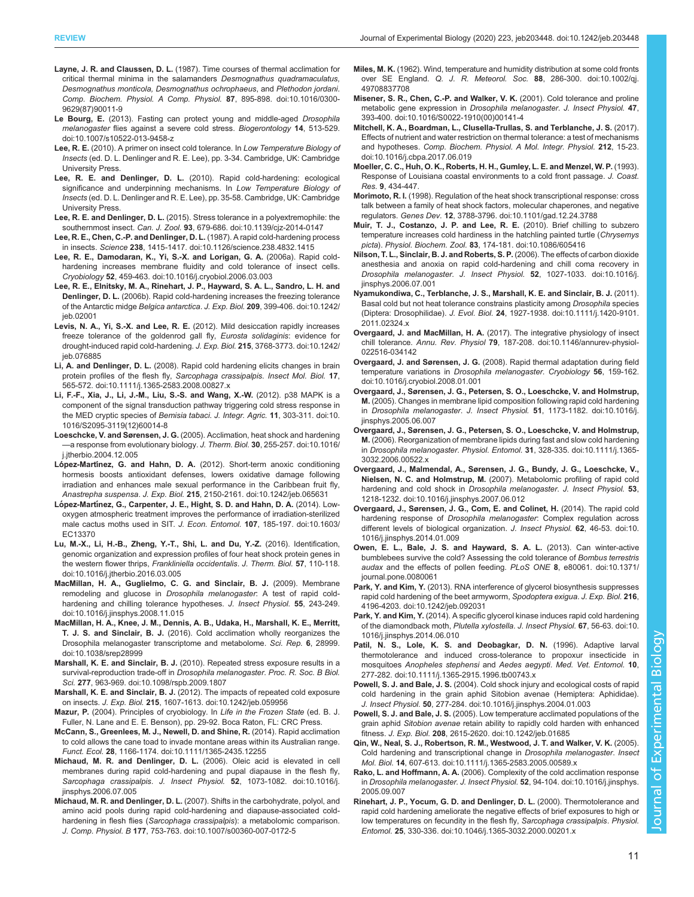- <span id="page-10-0"></span>Layne, J. R. and Claussen, D. L. [\(1987\). Time courses of thermal acclimation for](https://doi.org/10.1016/0300-9629(87)90011-9) [critical thermal minima in the salamanders](https://doi.org/10.1016/0300-9629(87)90011-9) Desmognathus quadramaculatus, [Desmognathus monticola, Desmognathus ochrophaeus](https://doi.org/10.1016/0300-9629(87)90011-9), and Plethodon jordani. [Comp. Biochem. Physiol. A Comp. Physiol.](https://doi.org/10.1016/0300-9629(87)90011-9) 87, 895-898. doi:10.1016/0300- [9629\(87\)90011-9](https://doi.org/10.1016/0300-9629(87)90011-9)
- Le Bourg, E. [\(2013\). Fasting can protect young and middle-aged](https://doi.org/10.1007/s10522-013-9458-z) Drosophila melanogaster [flies against a severe cold stress.](https://doi.org/10.1007/s10522-013-9458-z) Biogerontology 14, 513-529. [doi:10.1007/s10522-013-9458-z](https://doi.org/10.1007/s10522-013-9458-z)
- Lee, R. E. (2010). A primer on insect cold tolerance. In Low Temperature Biology of Insects (ed. D. L. Denlinger and R. E. Lee), pp. 3-34. Cambridge, UK: Cambridge University Press.
- Lee, R. E. and Denlinger, D. L. (2010). Rapid cold-hardening: ecological significance and underpinning mechanisms. In Low Temperature Biology of Insects (ed. D. L. Denlinger and R. E. Lee), pp. 35-58. Cambridge, UK: Cambridge University Press.
- Lee, R. E. and Denlinger, D. L. [\(2015\). Stress tolerance in a polyextremophile: the](https://doi.org/10.1139/cjz-2014-0147) southernmost insect. Can. J. Zool. 93[, 679-686. doi:10.1139/cjz-2014-0147](https://doi.org/10.1139/cjz-2014-0147)
- [Lee, R. E., Chen, C.-P. and Denlinger, D. L.](https://doi.org/10.1126/science.238.4832.1415) (1987). A rapid cold-hardening process in insects. Science 238[, 1415-1417. doi:10.1126/science.238.4832.1415](https://doi.org/10.1126/science.238.4832.1415)
- [Lee, R. E., Damodaran, K., Yi, S.-X. and Lorigan, G. A.](https://doi.org/10.1016/j.cryobiol.2006.03.003) (2006a). Rapid cold[hardening increases membrane fluidity and cold tolerance of insect cells.](https://doi.org/10.1016/j.cryobiol.2006.03.003) Cryobiology 52[, 459-463. doi:10.1016/j.cryobiol.2006.03.003](https://doi.org/10.1016/j.cryobiol.2006.03.003)
- [Lee, R. E., Elnitsky, M. A., Rinehart, J. P., Hayward, S. A. L., Sandro, L. H. and](https://doi.org/10.1242/jeb.02001) Denlinger, D. L. [\(2006b\). Rapid cold-hardening increases the freezing tolerance](https://doi.org/10.1242/jeb.02001) of the Antarctic midge Belgica antarctica. J. Exp. Biol. 209[, 399-406. doi:10.1242/](https://doi.org/10.1242/jeb.02001) [jeb.02001](https://doi.org/10.1242/jeb.02001)
- Levis, N. A., Yi, S.-X. and Lee, R. E. [\(2012\). Mild desiccation rapidly increases](https://doi.org/10.1242/jeb.076885) [freeze tolerance of the goldenrod gall fly,](https://doi.org/10.1242/jeb.076885) Eurosta solidaginis: evidence for [drought-induced rapid cold-hardening.](https://doi.org/10.1242/jeb.076885) J. Exp. Biol. 215, 3768-3773. doi:10.1242/ [jeb.076885](https://doi.org/10.1242/jeb.076885)
- Li, A. and Denlinger, D. L. [\(2008\). Rapid cold hardening elicits changes in brain](https://doi.org/10.1111/j.1365-2583.2008.00827.x) [protein profiles of the flesh fly,](https://doi.org/10.1111/j.1365-2583.2008.00827.x) Sarcophaga crassipalpis. Insect Mol. Biol. 17, [565-572. doi:10.1111/j.1365-2583.2008.00827.x](https://doi.org/10.1111/j.1365-2583.2008.00827.x)
- [Li, F.-F., Xia, J., Li, J.-M., Liu, S.-S. and Wang, X.-W.](https://doi.org/10.1016/S2095-3119(12)60014-8) (2012). p38 MAPK is a [component of the signal transduction pathway triggering cold stress response in](https://doi.org/10.1016/S2095-3119(12)60014-8) [the MED cryptic species of](https://doi.org/10.1016/S2095-3119(12)60014-8) Bemisia tabaci. J. Integr. Agric. 11, 303-311. doi:10. [1016/S2095-3119\(12\)60014-8](https://doi.org/10.1016/S2095-3119(12)60014-8)
- Loeschcke, V. and Sørensen, J. G. [\(2005\). Acclimation, heat shock and hardening](https://doi.org/10.1016/j.jtherbio.2004.12.005) —[a response from evolutionary biology.](https://doi.org/10.1016/j.jtherbio.2004.12.005) J. Therm. Biol. 30, 255-257. doi:10.1016/ [j.jtherbio.2004.12.005](https://doi.org/10.1016/j.jtherbio.2004.12.005)
- López-Martínez, G. and Hahn, D. A. [\(2012\). Short-term anoxic conditioning](https://doi.org/10.1242/jeb.065631) [hormesis boosts antioxidant defenses, lowers oxidative damage following](https://doi.org/10.1242/jeb.065631) [irradiation and enhances male sexual performance in the Caribbean fruit fly,](https://doi.org/10.1242/jeb.065631) Anastrepha suspensa. J. Exp. Biol. 215[, 2150-2161. doi:10.1242/jeb.065631](https://doi.org/10.1242/jeb.065631)
- López-Martí[nez, G., Carpenter, J. E., Hight, S. D. and Hahn, D. A.](https://doi.org/10.1603/EC13370) (2014). Low[oxygen atmospheric treatment improves the performance of irradiation-sterilized](https://doi.org/10.1603/EC13370) [male cactus moths used in SIT.](https://doi.org/10.1603/EC13370) J. Econ. Entomol. 107, 185-197. doi:10.1603/ [EC13370](https://doi.org/10.1603/EC13370)
- [Lu, M.-X., Li, H.-B., Zheng, Y.-T., Shi, L. and Du, Y.-Z.](https://doi.org/10.1016/j.jtherbio.2016.03.005) (2016). Identification, [genomic organization and expression profiles of four heat shock protein genes in](https://doi.org/10.1016/j.jtherbio.2016.03.005) [the western flower thrips,](https://doi.org/10.1016/j.jtherbio.2016.03.005) Frankliniella occidentalis. J. Therm. Biol. 57, 110-118. [doi:10.1016/j.jtherbio.2016.03.005](https://doi.org/10.1016/j.jtherbio.2016.03.005)
- [MacMillan, H. A., Guglielmo, C. G. and Sinclair, B. J.](https://doi.org/10.1016/j.jinsphys.2008.11.015) (2009). Membrane [remodeling and glucose in](https://doi.org/10.1016/j.jinsphys.2008.11.015) Drosophila melanogaster: A test of rapid cold[hardening and chilling tolerance hypotheses.](https://doi.org/10.1016/j.jinsphys.2008.11.015) J. Insect Physiol. 55, 243-249. [doi:10.1016/j.jinsphys.2008.11.015](https://doi.org/10.1016/j.jinsphys.2008.11.015)
- [MacMillan, H. A., Knee, J. M., Dennis, A. B., Udaka, H., Marshall, K. E., Merritt,](https://doi.org/10.1038/srep28999) T. J. S. and Sinclair, B. J. [\(2016\). Cold acclimation wholly reorganizes the](https://doi.org/10.1038/srep28999) [Drosophila melanogaster transcriptome and metabolome.](https://doi.org/10.1038/srep28999) Sci. Rep. 6, 28999. [doi:10.1038/srep28999](https://doi.org/10.1038/srep28999)
- Marshall, K. E. and Sinclair, B. J. [\(2010\). Repeated stress exposure results in a](https://doi.org/10.1098/rspb.2009.1807) [survival-reproduction trade-off in](https://doi.org/10.1098/rspb.2009.1807) Drosophila melanogaster. Proc. R. Soc. B Biol. Sci. 277[, 963-969. doi:10.1098/rspb.2009.1807](https://doi.org/10.1098/rspb.2009.1807)
- Marshall, K. E. and Sinclair, B. J. [\(2012\). The impacts of repeated cold exposure](https://doi.org/10.1242/jeb.059956) on insects. J. Exp. Biol. 215[, 1607-1613. doi:10.1242/jeb.059956](https://doi.org/10.1242/jeb.059956)
- Mazur, P. (2004). Principles of cryobiology. In Life in the Frozen State (ed. B. J. Fuller, N. Lane and E. E. Benson), pp. 29-92. Boca Raton, FL: CRC Press.
- [McCann, S., Greenlees, M. J., Newell, D. and Shine, R.](https://doi.org/10.1111/1365-2435.12255) (2014). Rapid acclimation [to cold allows the cane toad to invade montane areas within its Australian range.](https://doi.org/10.1111/1365-2435.12255) Funct. Ecol. 28[, 1166-1174. doi:10.1111/1365-2435.12255](https://doi.org/10.1111/1365-2435.12255)
- [Michaud, M. R. and Denlinger, D. L.](https://doi.org/10.1016/j.jinsphys.2006.07.005) (2006). Oleic acid is elevated in cell [membranes during rapid cold-hardening and pupal diapause in the flesh fly,](https://doi.org/10.1016/j.jinsphys.2006.07.005) Sarcophaga crassipalpis. J. Insect Physiol. 52[, 1073-1082. doi:10.1016/j.](https://doi.org/10.1016/j.jinsphys.2006.07.005) [jinsphys.2006.07.005](https://doi.org/10.1016/j.jinsphys.2006.07.005)
- Michaud, M. R. and Denlinger, D. L. [\(2007\). Shifts in the carbohydrate, polyol, and](https://doi.org/10.1007/s00360-007-0172-5) [amino acid pools during rapid cold-hardening and diapause-associated cold-](https://doi.org/10.1007/s00360-007-0172-5)hardening in flesh flies (Sarcophaga crassipalpis[\): a metabolomic comparison.](https://doi.org/10.1007/s00360-007-0172-5) J. Comp. Physiol. B 177[, 753-763. doi:10.1007/s00360-007-0172-5](https://doi.org/10.1007/s00360-007-0172-5)
- Miles, M. K. [\(1962\). Wind, temperature and humidity distribution at some cold fronts](https://doi.org/10.1002/qj.49708837708) over SE England. Q. J. R. Meteorol. Soc. 88[, 286-300. doi:10.1002/qj.](https://doi.org/10.1002/qj.49708837708) [49708837708](https://doi.org/10.1002/qj.49708837708)
- [Misener, S. R., Chen, C.-P. and Walker, V. K.](https://doi.org/10.1016/S0022-1910(00)00141-4) (2001). Cold tolerance and proline [metabolic gene expression in](https://doi.org/10.1016/S0022-1910(00)00141-4) Drosophila melanogaster. J. Insect Physiol. 47, [393-400. doi:10.1016/S0022-1910\(00\)00141-4](https://doi.org/10.1016/S0022-1910(00)00141-4)
- [Mitchell, K. A., Boardman, L., Clusella-Trullas, S. and Terblanche, J. S.](https://doi.org/10.1016/j.cbpa.2017.06.019) (2017). [Effects of nutrient and water restriction on thermal tolerance: a test of mechanisms](https://doi.org/10.1016/j.cbpa.2017.06.019) and hypotheses. [Comp. Biochem. Physiol. A Mol. Integr. Physiol.](https://doi.org/10.1016/j.cbpa.2017.06.019) 212, 15-23. [doi:10.1016/j.cbpa.2017.06.019](https://doi.org/10.1016/j.cbpa.2017.06.019)
- Moeller, C. C., Huh, O. K., Roberts, H. H., Gumley, L. E. and Menzel, W. P. (1993). Response of Louisiana coastal environments to a cold front passage. J. Coast. Res. 9, 434-447.
- Morimoto, R. I. [\(1998\). Regulation of the heat shock transcriptional response: cross](https://doi.org/10.1101/gad.12.24.3788) [talk between a family of heat shock factors, molecular chaperones, and negative](https://doi.org/10.1101/gad.12.24.3788) regulators. Genes Dev. 12[, 3788-3796. doi:10.1101/gad.12.24.3788](https://doi.org/10.1101/gad.12.24.3788)
- [Muir, T. J., Costanzo, J. P. and Lee, R. E.](https://doi.org/10.1086/605416) (2010). Brief chilling to subzero [temperature increases cold hardiness in the hatchling painted turtle \(](https://doi.org/10.1086/605416)Chrysemys picta). Physiol. Biochem. Zool. 83[, 174-181. doi:10.1086/605416](https://doi.org/10.1086/605416)
- [Nilson, T. L., Sinclair, B. J. and Roberts, S. P.](https://doi.org/10.1016/j.jinsphys.2006.07.001) (2006). The effects of carbon dioxide [anesthesia and anoxia on rapid cold-hardening and chill coma recovery in](https://doi.org/10.1016/j.jinsphys.2006.07.001) Drosophila melanogaster. J. Insect Physiol. 52[, 1027-1033. doi:10.1016/j.](https://doi.org/10.1016/j.jinsphys.2006.07.001) [jinsphys.2006.07.001](https://doi.org/10.1016/j.jinsphys.2006.07.001)
- [Nyamukondiwa, C., Terblanche, J. S., Marshall, K. E. and Sinclair, B. J.](https://doi.org/10.1111/j.1420-9101.2011.02324.x) (2011). [Basal cold but not heat tolerance constrains plasticity among](https://doi.org/10.1111/j.1420-9101.2011.02324.x) Drosophila species (Diptera: Drosophilidae). J. Evol. Biol. 24[, 1927-1938. doi:10.1111/j.1420-9101.](https://doi.org/10.1111/j.1420-9101.2011.02324.x) [2011.02324.x](https://doi.org/10.1111/j.1420-9101.2011.02324.x)
- Overgaard, J. and MacMillan, H. A. [\(2017\). The integrative physiology of insect](https://doi.org/10.1146/annurev-physiol-022516-034142) chill tolerance. Annu. Rev. Physiol 79[, 187-208. doi:10.1146/annurev-physiol-](https://doi.org/10.1146/annurev-physiol-022516-034142)[022516-034142](https://doi.org/10.1146/annurev-physiol-022516-034142)
- Overgaard, J. and Sørensen, J. G. [\(2008\). Rapid thermal adaptation during field](https://doi.org/10.1016/j.cryobiol.2008.01.001) [temperature variations in](https://doi.org/10.1016/j.cryobiol.2008.01.001) Drosophila melanogaster. Cryobiology 56, 159-162. [doi:10.1016/j.cryobiol.2008.01.001](https://doi.org/10.1016/j.cryobiol.2008.01.001)
- [Overgaard, J., Sørensen, J. G., Petersen, S. O., Loeschcke, V. and Holmstrup,](https://doi.org/10.1016/j.jinsphys.2005.06.007) M. [\(2005\). Changes in membrane lipid composition following rapid cold hardening](https://doi.org/10.1016/j.jinsphys.2005.06.007) in Drosophila melanogaster. J. Insect Physiol. 51[, 1173-1182. doi:10.1016/j.](https://doi.org/10.1016/j.jinsphys.2005.06.007) [jinsphys.2005.06.007](https://doi.org/10.1016/j.jinsphys.2005.06.007)
- [Overgaard, J., Sørensen, J. G., Petersen, S. O., Loeschcke, V. and Holmstrup,](https://doi.org/10.1111/j.1365-3032.2006.00522.x) M. [\(2006\). Reorganization of membrane lipids during fast and slow cold hardening](https://doi.org/10.1111/j.1365-3032.2006.00522.x) in Drosophila melanogaster. Physiol. Entomol. 31[, 328-335. doi:10.1111/j.1365-](https://doi.org/10.1111/j.1365-3032.2006.00522.x) [3032.2006.00522.x](https://doi.org/10.1111/j.1365-3032.2006.00522.x)
- [Overgaard, J., Malmendal, A., Sørensen, J. G., Bundy, J. G., Loeschcke, V.,](https://doi.org/10.1016/j.jinsphys.2007.06.012) Nielsen, N. C. and Holmstrup, M. [\(2007\). Metabolomic profiling of rapid cold](https://doi.org/10.1016/j.jinsphys.2007.06.012) [hardening and cold shock in](https://doi.org/10.1016/j.jinsphys.2007.06.012) Drosophila melanogaster. J. Insect Physiol. 53, [1218-1232. doi:10.1016/j.jinsphys.2007.06.012](https://doi.org/10.1016/j.jinsphys.2007.06.012)
- [Overgaard, J., Sørensen, J. G., Com, E. and Colinet, H.](https://doi.org/10.1016/j.jinsphys.2014.01.009) (2014). The rapid cold hardening response of Drosophila melanogaster[: Complex regulation across](https://doi.org/10.1016/j.jinsphys.2014.01.009) [different levels of biological organization.](https://doi.org/10.1016/j.jinsphys.2014.01.009) J. Insect Physiol. 62, 46-53. doi:10. [1016/j.jinsphys.2014.01.009](https://doi.org/10.1016/j.jinsphys.2014.01.009)
- [Owen, E. L., Bale, J. S. and Hayward, S. A. L.](https://doi.org/10.1371/journal.pone.0080061) (2013). Can winter-active [bumblebees survive the cold? Assessing the cold tolerance of](https://doi.org/10.1371/journal.pone.0080061) Bombus terrestris audax [and the effects of pollen feeding.](https://doi.org/10.1371/journal.pone.0080061) PLoS ONE 8, e80061. doi:10.1371/ [journal.pone.0080061](https://doi.org/10.1371/journal.pone.0080061)
- Park, Y. and Kim, Y. [\(2013\). RNA interference of glycerol biosynthesis suppresses](https://doi.org/10.1242/jeb.092031) [rapid cold hardening of the beet armyworm,](https://doi.org/10.1242/jeb.092031) Spodoptera exigua. J. Exp. Biol. 216, [4196-4203. doi:10.1242/jeb.092031](https://doi.org/10.1242/jeb.092031)
- Park, Y. and Kim, Y. [\(2014\). A specific glycerol kinase induces rapid cold hardening](https://doi.org/10.1016/j.jinsphys.2014.06.010) [of the diamondback moth,](https://doi.org/10.1016/j.jinsphys.2014.06.010) Plutella xylostella. J. Insect Physiol. 67, 56-63. doi:10. [1016/j.jinsphys.2014.06.010](https://doi.org/10.1016/j.jinsphys.2014.06.010)
- [Patil, N. S., Lole, K. S. and Deobagkar, D. N.](https://doi.org/10.1111/j.1365-2915.1996.tb00743.x) (1996). Adaptive larval [thermotolerance and induced cross-tolerance to propoxur insecticide in](https://doi.org/10.1111/j.1365-2915.1996.tb00743.x) mosquitoes [Anopheles stephensi](https://doi.org/10.1111/j.1365-2915.1996.tb00743.x) and Aedes aegypti. Med. Vet. Entomol. 10, [277-282. doi:10.1111/j.1365-2915.1996.tb00743.x](https://doi.org/10.1111/j.1365-2915.1996.tb00743.x)
- Powell, S. J. and Bale, J. S. [\(2004\). Cold shock injury and ecological costs of rapid](https://doi.org/10.1016/j.jinsphys.2004.01.003) [cold hardening in the grain aphid Sitobion avenae \(Hemiptera: Aphididae\).](https://doi.org/10.1016/j.jinsphys.2004.01.003) J. Insect Physiol. 50[, 277-284. doi:10.1016/j.jinsphys.2004.01.003](https://doi.org/10.1016/j.jinsphys.2004.01.003)
- Powell, S. J. and Bale, J. S. [\(2005\). Low temperature acclimated populations of the](https://doi.org/10.1242/jeb.01685) grain aphid Sitobion avenae [retain ability to rapidly cold harden with enhanced](https://doi.org/10.1242/jeb.01685) fitness. J. Exp. Biol. 208[, 2615-2620. doi:10.1242/jeb.01685](https://doi.org/10.1242/jeb.01685)
- [Qin, W., Neal, S. J., Robertson, R. M., Westwood, J. T. and Walker, V. K.](https://doi.org/10.1111/j.1365-2583.2005.00589.x) (2005). [Cold hardening and transcriptional change in](https://doi.org/10.1111/j.1365-2583.2005.00589.x) Drosophila melanogaster. Insect Mol. Biol. 14[, 607-613. doi:10.1111/j.1365-2583.2005.00589.x](https://doi.org/10.1111/j.1365-2583.2005.00589.x)
- Rako, L. and Hoffmann, A. A. [\(2006\). Complexity of the cold acclimation response](https://doi.org/10.1016/j.jinsphys.2005.09.007) in Drosophila melanogaster. J. Insect Physiol. 52[, 94-104. doi:10.1016/j.jinsphys.](https://doi.org/10.1016/j.jinsphys.2005.09.007) [2005.09.007](https://doi.org/10.1016/j.jinsphys.2005.09.007)
- [Rinehart, J. P., Yocum, G. D. and Denlinger, D. L.](https://doi.org/10.1046/j.1365-3032.2000.00201.x) (2000). Thermotolerance and [rapid cold hardening ameliorate the negative effects of brief exposures to high or](https://doi.org/10.1046/j.1365-3032.2000.00201.x) [low temperatures on fecundity in the flesh fly,](https://doi.org/10.1046/j.1365-3032.2000.00201.x) Sarcophaga crassipalpis. Physiol. Entomol. 25[, 330-336. doi:10.1046/j.1365-3032.2000.00201.x](https://doi.org/10.1046/j.1365-3032.2000.00201.x)